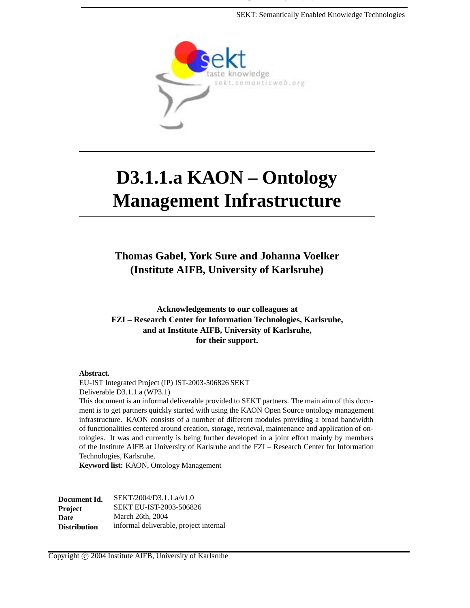SEKT: Semantically Enabled Knowledge Technologies



# **D3.1.1.a KAON – Ontology Management Infrastructure**

**Thomas Gabel, York Sure and Johanna Voelker (Institute AIFB, University of Karlsruhe)**

**Acknowledgements to our colleagues at FZI – Research Center for Information Technologies, Karlsruhe, and at Institute AIFB, University of Karlsruhe, for their support.**

#### **Abstract.**

EU-IST Integrated Project (IP) IST-2003-506826 SEKT Deliverable D3.1.1.a (WP3.1)

This document is an informal deliverable provided to SEKT partners. The main aim of this document is to get partners quickly started with using the KAON Open Source ontology management infrastructure. KAON consists of a number of different modules providing a broad bandwidth of functionalities centered around creation, storage, retrieval, maintenance and application of ontologies. It was and currently is being further developed in a joint effort mainly by members of the Institute AIFB at University of Karlsruhe and the FZI – Research Center for Information Technologies, Karlsruhe.

**Keyword list:** KAON, Ontology Management

| Document Id.        | SEKT/2004/D3.1.1.a/v1.0                |
|---------------------|----------------------------------------|
| <b>Project</b>      | <b>SEKT EU-IST-2003-506826</b>         |
| <b>Date</b>         | March 26th, 2004                       |
| <b>Distribution</b> | informal deliverable, project internal |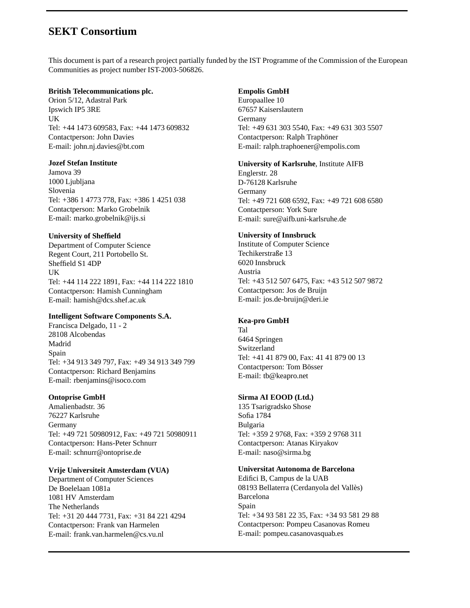### **SEKT Consortium**

This document is part of a research project partially funded by the IST Programme of the Commission of the European Communities as project number IST-2003-506826.

#### **British Telecommunications plc.**

Orion 5/12, Adastral Park Ipswich IP5 3RE UK Tel: +44 1473 609583, Fax: +44 1473 609832 Contactperson: John Davies E-mail: john.nj.davies@bt.com

#### **Jozef Stefan Institute**

Jamova 39 1000 Ljubljana Slovenia Tel: +386 1 4773 778, Fax: +386 1 4251 038 Contactperson: Marko Grobelnik E-mail: marko.grobelnik@ijs.si

#### **University of Sheffield**

Department of Computer Science Regent Court, 211 Portobello St. Sheffield S1 4DP UK Tel: +44 114 222 1891, Fax: +44 114 222 1810 Contactperson: Hamish Cunningham E-mail: hamish@dcs.shef.ac.uk

#### **Intelligent Software Components S.A.**

Francisca Delgado, 11 - 2 28108 Alcobendas Madrid Spain Tel: +34 913 349 797, Fax: +49 34 913 349 799 Contactperson: Richard Benjamins E-mail: rbenjamins@isoco.com

#### **Ontoprise GmbH**

Amalienbadstr. 36 76227 Karlsruhe Germany Tel: +49 721 50980912, Fax: +49 721 50980911 Contactperson: Hans-Peter Schnurr E-mail: schnurr@ontoprise.de

#### **Vrije Universiteit Amsterdam (VUA)**

Department of Computer Sciences De Boelelaan 1081a 1081 HV Amsterdam The Netherlands Tel: +31 20 444 7731, Fax: +31 84 221 4294 Contactperson: Frank van Harmelen E-mail: frank.van.harmelen@cs.vu.nl

#### **Empolis GmbH**

Europaallee 10 67657 Kaiserslautern Germany Tel: +49 631 303 5540, Fax: +49 631 303 5507 Contactperson: Ralph Traphöner E-mail: ralph.traphoener@empolis.com

#### **University of Karlsruhe**, Institute AIFB

Englerstr. 28 D-76128 Karlsruhe Germany Tel: +49 721 608 6592, Fax: +49 721 608 6580 Contactperson: York Sure E-mail: sure@aifb.uni-karlsruhe.de

#### **University of Innsbruck**

Institute of Computer Science Techikerstraße 13 6020 Innsbruck Austria Tel: +43 512 507 6475, Fax: +43 512 507 9872 Contactperson: Jos de Bruijn E-mail: jos.de-bruijn@deri.ie

#### **Kea-pro GmbH**

Tal 6464 Springen Switzerland Tel: +41 41 879 00, Fax: 41 41 879 00 13 Contactperson: Tom Bösser E-mail: tb@keapro.net

#### **Sirma AI EOOD (Ltd.)**

135 Tsarigradsko Shose Sofia 1784 Bulgaria Tel: +359 2 9768, Fax: +359 2 9768 311 Contactperson: Atanas Kiryakov E-mail: naso@sirma.bg

#### **Universitat Autonoma de Barcelona**

Edifici B, Campus de la UAB 08193 Bellaterra (Cerdanyola del Vallès) Barcelona Spain Tel: +34 93 581 22 35, Fax: +34 93 581 29 88 Contactperson: Pompeu Casanovas Romeu E-mail: pompeu.casanovasquab.es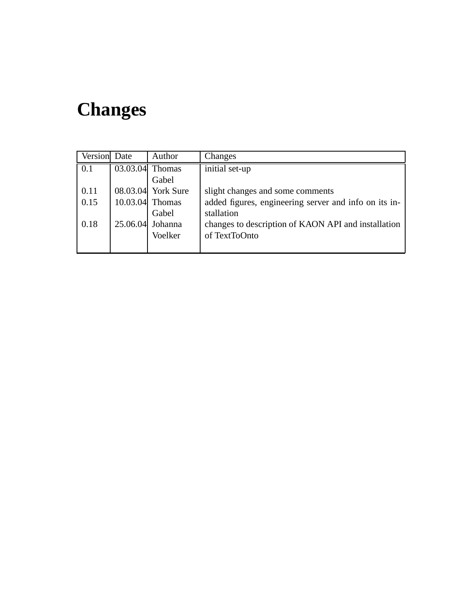# **Changes**

| Version Date | Author             | Changes                                               |
|--------------|--------------------|-------------------------------------------------------|
| 0.1          | $03.03.04$ Thomas  | initial set-up                                        |
|              | Gabel              |                                                       |
| 0.11         | 08.03.04 York Sure | slight changes and some comments                      |
| 0.15         | $10.03.04$ Thomas  | added figures, engineering server and info on its in- |
|              | Gabel              | stallation                                            |
| 0.18         | $25.06.04$ Johanna | changes to description of KAON API and installation   |
|              | Voelker            | of TextToOnto                                         |
|              |                    |                                                       |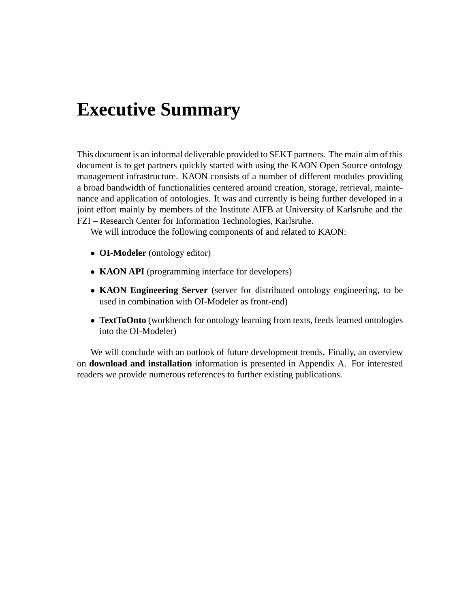# **Executive Summary**

This document is an informal deliverable provided to SEKT partners. The main aim of this document is to get partners quickly started with using the KAON Open Source ontology management infrastructure. KAON consists of a number of different modules providing a broad bandwidth of functionalities centered around creation, storage, retrieval, maintenance and application of ontologies. It was and currently is being further developed in a joint effort mainly by members of the Institute AIFB at University of Karlsruhe and the FZI – Research Center for Information Technologies, Karlsruhe.

We will introduce the following components of and related to KAON:

- **OI-Modeler** (ontology editor)
- **KAON API** (programming interface for developers)
- **KAON Engineering Server** (server for distributed ontology engineering, to be used in combination with OI-Modeler as front-end)
- **TextToOnto** (workbench for ontology learning from texts, feeds learned ontologies into the OI-Modeler)

We will conclude with an outlook of future development trends. Finally, an overview on **download and installation** information is presented in Appendix A. For interested readers we provide numerous references to further existing publications.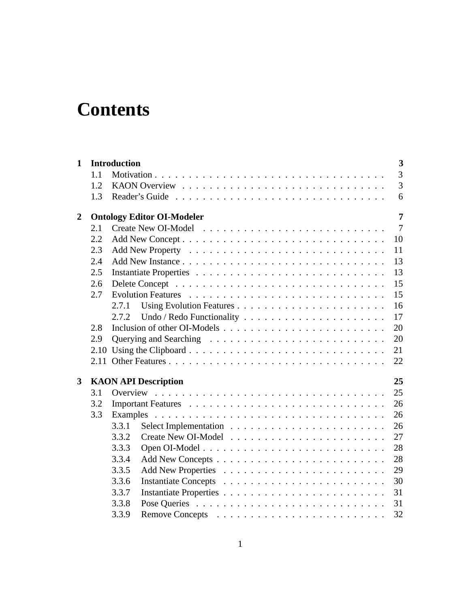# **Contents**

| $\mathbf{1}$   |      | <b>Introduction</b>               | 3              |
|----------------|------|-----------------------------------|----------------|
|                | 1.1  |                                   | $\overline{3}$ |
|                | 1.2  |                                   | $\overline{3}$ |
|                | 1.3  |                                   | 6              |
| $\overline{2}$ |      | <b>Ontology Editor OI-Modeler</b> | $\overline{7}$ |
|                | 2.1  |                                   | $\overline{7}$ |
|                | 2.2  | 10                                |                |
|                | 2.3  | 11                                |                |
|                | 2.4  | 13                                |                |
|                | 2.5  | 13                                |                |
|                | 2.6  | 15                                |                |
|                | 2.7  | 15                                |                |
|                |      | 16<br>2.7.1                       |                |
|                |      | 17<br>2.7.2                       |                |
|                | 2.8  | 20                                |                |
|                | 2.9  | 20                                |                |
|                | 2.10 | 21                                |                |
|                |      | 22                                |                |
| 3              |      | 25<br><b>KAON API Description</b> |                |
|                | 3.1  | 25                                |                |
|                | 3.2  | 26                                |                |
|                | 3.3  | 26                                |                |
|                |      | 26<br>3.3.1                       |                |
|                |      | 3.3.2<br>27                       |                |
|                |      | 28<br>3.3.3                       |                |
|                |      | 28<br>3.3.4                       |                |
|                |      | 29<br>3.3.5                       |                |
|                |      | 3.3.6<br>30                       |                |
|                |      | 3.3.7<br>31                       |                |
|                |      | 3.3.8<br>31                       |                |
|                |      | 3.3.9<br>32                       |                |
|                |      |                                   |                |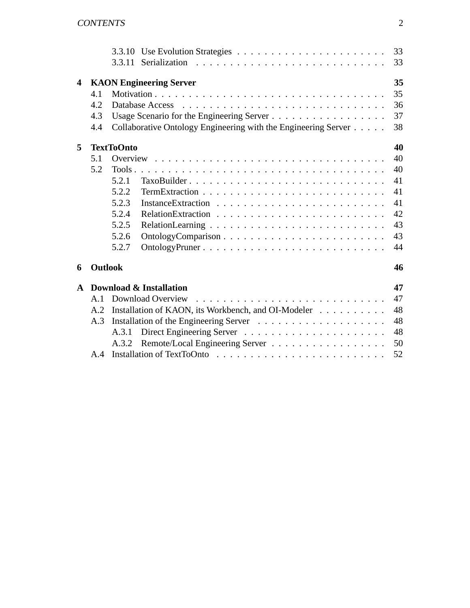|              |                | 3.3.11                                                         | 33<br>33 |
|--------------|----------------|----------------------------------------------------------------|----------|
| 4            |                | <b>KAON Engineering Server</b>                                 | 35       |
|              | 4.1            |                                                                | 35       |
|              | 4.2            |                                                                | 36       |
|              | 4.3            |                                                                | 37       |
|              | 4.4            | Collaborative Ontology Engineering with the Engineering Server | 38       |
| 5            |                | <b>TextToOnto</b>                                              | 40       |
|              | 5.1            |                                                                | 40       |
|              | 5.2            |                                                                | 40       |
|              |                | 5.2.1                                                          | 41       |
|              |                | 5.2.2                                                          | 41       |
|              |                | 5.2.3                                                          | 41       |
|              |                | 5.2.4                                                          | 42       |
|              |                | 5.2.5                                                          | 43       |
|              |                | 5.2.6                                                          | 43       |
|              |                | 5.2.7<br>OntologyPruner                                        | 44       |
| 6            | <b>Outlook</b> |                                                                | 46       |
| $\mathbf{A}$ |                | Download & Installation                                        | 47       |
|              | A.1            | Download Overview                                              | 47       |
|              | A.2            | Installation of KAON, its Workbench, and OI-Modeler            | 48       |
|              | A.3            |                                                                | 48       |
|              |                | A.3.1                                                          | 48       |
|              |                | A.3.2                                                          | 50       |
|              | A.4            |                                                                | 52       |
|              |                |                                                                |          |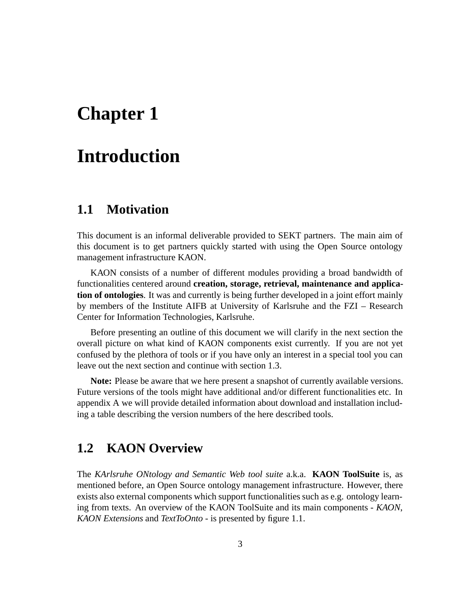# **Chapter 1**

# **Introduction**

## **1.1 Motivation**

This document is an informal deliverable provided to SEKT partners. The main aim of this document is to get partners quickly started with using the Open Source ontology management infrastructure KAON.

KAON consists of a number of different modules providing a broad bandwidth of functionalities centered around **creation, storage, retrieval, maintenance and application of ontologies**. It was and currently is being further developed in a joint effort mainly by members of the Institute AIFB at University of Karlsruhe and the FZI – Research Center for Information Technologies, Karlsruhe.

Before presenting an outline of this document we will clarify in the next section the overall picture on what kind of KAON components exist currently. If you are not yet confused by the plethora of tools or if you have only an interest in a special tool you can leave out the next section and continue with section 1.3.

**Note:** Please be aware that we here present a snapshot of currently available versions. Future versions of the tools might have additional and/or different functionalities etc. In appendix A we will provide detailed information about download and installation including a table describing the version numbers of the here described tools.

## **1.2 KAON Overview**

The *KArlsruhe ONtology and Semantic Web tool suite* a.k.a. **KAON ToolSuite** is, as mentioned before, an Open Source ontology management infrastructure. However, there exists also external components which support functionalities such as e.g. ontology learning from texts. An overview of the KAON ToolSuite and its main components - *KAON*, *KAON Extensions* and *TextToOnto* - is presented by figure 1.1.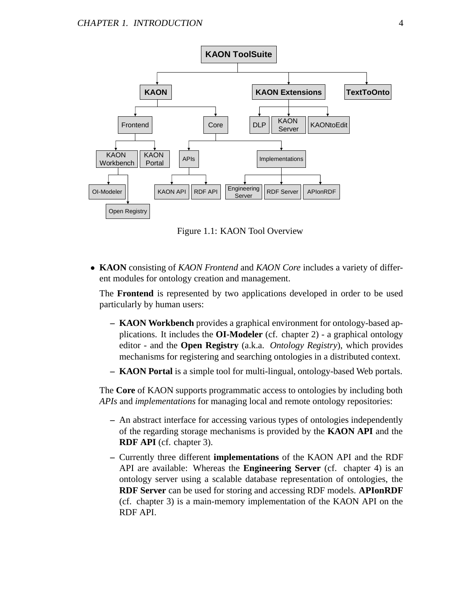

Figure 1.1: KAON Tool Overview

• **KAON** consisting of *KAON Frontend* and *KAON Core* includes a variety of different modules for ontology creation and management.

The **Frontend** is represented by two applications developed in order to be used particularly by human users:

- **KAON Workbench** provides a graphical environment for ontology-based applications. It includes the **OI-Modeler** (cf. chapter 2) - a graphical ontology editor - and the **Open Registry** (a.k.a. *Ontology Registry*), which provides mechanisms for registering and searching ontologies in a distributed context.
- **KAON Portal** is a simple tool for multi-lingual, ontology-based Web portals.

The **Core** of KAON supports programmatic access to ontologies by including both *APIs* and *implementations* for managing local and remote ontology repositories:

- **–** An abstract interface for accessing various types of ontologies independently of the regarding storage mechanisms is provided by the **KAON API** and the **RDF API** (cf. chapter 3).
- **–** Currently three different **implementations** of the KAON API and the RDF API are available: Whereas the **Engineering Server** (cf. chapter 4) is an ontology server using a scalable database representation of ontologies, the **RDF Server** can be used for storing and accessing RDF models. **APIonRDF** (cf. chapter 3) is a main-memory implementation of the KAON API on the RDF API.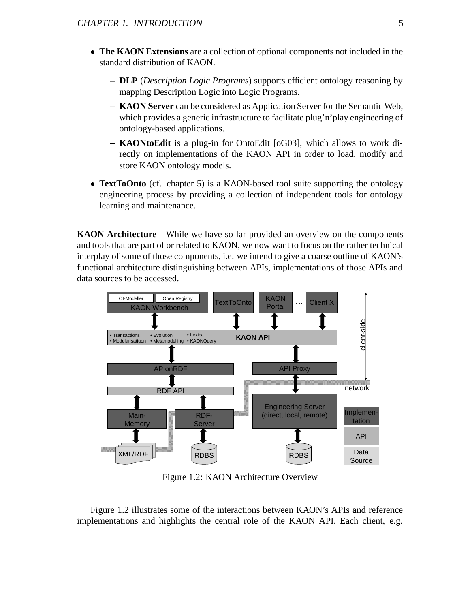- **The KAON Extensions** are a collection of optional components not included in the standard distribution of KAON.
	- **DLP** (*Description Logic Programs*) supports efficient ontology reasoning by mapping Description Logic into Logic Programs.
	- **KAON Server** can be considered as Application Server for the Semantic Web, which provides a generic infrastructure to facilitate plug'n'play engineering of ontology-based applications.
	- **KAONtoEdit** is a plug-in for OntoEdit [oG03], which allows to work directly on implementations of the KAON API in order to load, modify and store KAON ontology models.
- **TextToOnto** (cf. chapter 5) is a KAON-based tool suite supporting the ontology engineering process by providing a collection of independent tools for ontology learning and maintenance.

**KAON Architecture** While we have so far provided an overview on the components and tools that are part of or related to KAON, we now want to focus on the rather technical interplay of some of those components, i.e. we intend to give a coarse outline of KAON's functional architecture distinguishing between APIs, implementations of those APIs and data sources to be accessed.



Figure 1.2: KAON Architecture Overview

Figure 1.2 illustrates some of the interactions between KAON's APIs and reference implementations and highlights the central role of the KAON API. Each client, e.g.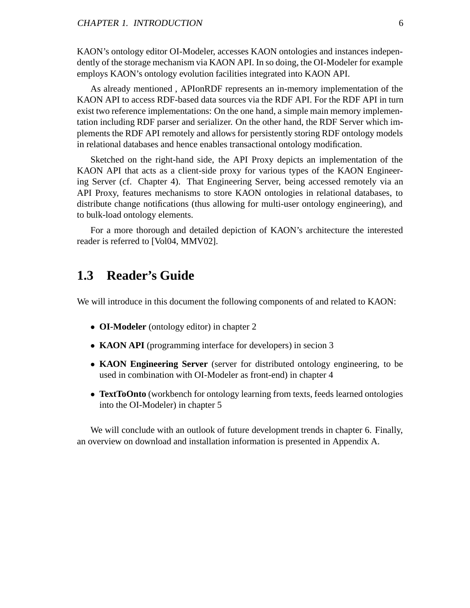KAON's ontology editor OI-Modeler, accesses KAON ontologies and instances independently of the storage mechanism via KAON API. In so doing, the OI-Modeler for example employs KAON's ontology evolution facilities integrated into KAON API.

As already mentioned , APIonRDF represents an in-memory implementation of the KAON API to access RDF-based data sources via the RDF API. For the RDF API in turn exist two reference implementations: On the one hand, a simple main memory implementation including RDF parser and serializer. On the other hand, the RDF Server which implements the RDF API remotely and allows for persistently storing RDF ontology models in relational databases and hence enables transactional ontology modification.

Sketched on the right-hand side, the API Proxy depicts an implementation of the KAON API that acts as a client-side proxy for various types of the KAON Engineering Server (cf. Chapter 4). That Engineering Server, being accessed remotely via an API Proxy, features mechanisms to store KAON ontologies in relational databases, to distribute change notifications (thus allowing for multi-user ontology engineering), and to bulk-load ontology elements.

For a more thorough and detailed depiction of KAON's architecture the interested reader is referred to [Vol04, MMV02].

## **1.3 Reader's Guide**

We will introduce in this document the following components of and related to KAON:

- **OI-Modeler** (ontology editor) in chapter 2
- **KAON API** (programming interface for developers) in secion 3
- **KAON Engineering Server** (server for distributed ontology engineering, to be used in combination with OI-Modeler as front-end) in chapter 4
- **TextToOnto** (workbench for ontology learning from texts, feeds learned ontologies into the OI-Modeler) in chapter 5

We will conclude with an outlook of future development trends in chapter 6. Finally, an overview on download and installation information is presented in Appendix A.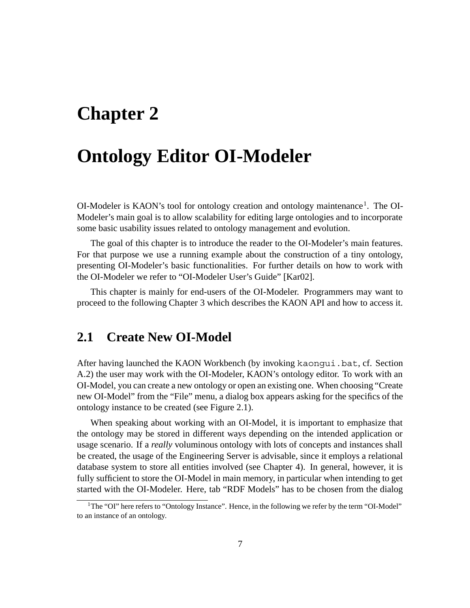# **Chapter 2**

## **Ontology Editor OI-Modeler**

 $O$ I-Modeler is KAON's tool for ontology creation and ontology maintenance<sup>1</sup>. The OI-Modeler's main goal is to allow scalability for editing large ontologies and to incorporate some basic usability issues related to ontology management and evolution.

The goal of this chapter is to introduce the reader to the OI-Modeler's main features. For that purpose we use a running example about the construction of a tiny ontology, presenting OI-Modeler's basic functionalities. For further details on how to work with the OI-Modeler we refer to "OI-Modeler User's Guide" [Kar02].

This chapter is mainly for end-users of the OI-Modeler. Programmers may want to proceed to the following Chapter 3 which describes the KAON API and how to access it.

## **2.1 Create New OI-Model**

After having launched the KAON Workbench (by invoking kaongui.bat, cf. Section A.2) the user may work with the OI-Modeler, KAON's ontology editor. To work with an OI-Model, you can create a new ontology or open an existing one. When choosing "Create new OI-Model" from the "File" menu, a dialog box appears asking for the specifics of the ontology instance to be created (see Figure 2.1).

When speaking about working with an OI-Model, it is important to emphasize that the ontology may be stored in different ways depending on the intended application or usage scenario. If a *really* voluminous ontology with lots of concepts and instances shall be created, the usage of the Engineering Server is advisable, since it employs a relational database system to store all entities involved (see Chapter 4). In general, however, it is fully sufficient to store the OI-Model in main memory, in particular when intending to get started with the OI-Modeler. Here, tab "RDF Models" has to be chosen from the dialog

<sup>&</sup>lt;sup>1</sup>The "OI" here refers to "Ontology Instance". Hence, in the following we refer by the term "OI-Model" to an instance of an ontology.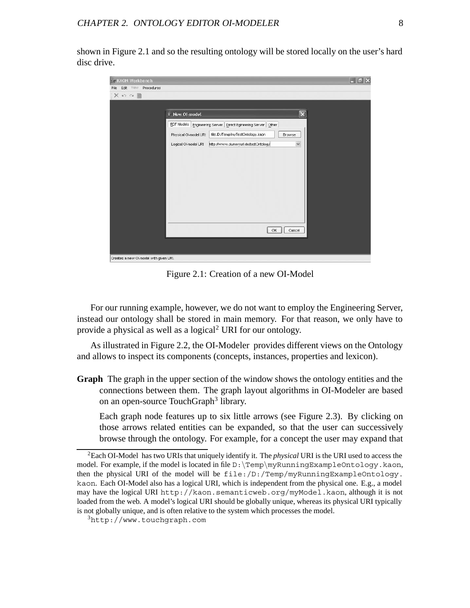shown in Figure 2.1 and so the resulting ontology will be stored locally on the user's hard disc drive.

| Ey KAON Workbench                      |                        |                                                              |                         | $\boxed{\blacksquare \blacksquare \blacksquare \boxtimes \blacksquare}$ |
|----------------------------------------|------------------------|--------------------------------------------------------------|-------------------------|-------------------------------------------------------------------------|
| File Edit View Procedures              |                        |                                                              |                         |                                                                         |
| $X \circ \circ \mathbb{R}$             |                        |                                                              |                         |                                                                         |
|                                        |                        |                                                              |                         |                                                                         |
|                                        | New OI-model           |                                                              | $\overline{\mathsf{x}}$ |                                                                         |
|                                        |                        | RDF Models Engineering Server Direct Egineering Server Other |                         |                                                                         |
|                                        | Physical Ol-model URI: | file:/D:/Temp/myTestOntology.kaon                            | Browse                  |                                                                         |
|                                        | Logical Ol-model URI:  | http://www.dummyurl.de/testOntology                          | $\checkmark$            |                                                                         |
|                                        |                        |                                                              |                         |                                                                         |
|                                        |                        |                                                              |                         |                                                                         |
|                                        |                        |                                                              |                         |                                                                         |
|                                        |                        |                                                              |                         |                                                                         |
|                                        |                        |                                                              |                         |                                                                         |
|                                        |                        |                                                              |                         |                                                                         |
|                                        |                        |                                                              |                         |                                                                         |
|                                        |                        |                                                              |                         |                                                                         |
|                                        |                        |                                                              |                         |                                                                         |
|                                        |                        | OK                                                           | Cancel                  |                                                                         |
|                                        |                        |                                                              |                         |                                                                         |
|                                        |                        |                                                              |                         |                                                                         |
| Creates a new Ol-model with given URI. |                        |                                                              |                         |                                                                         |

Figure 2.1: Creation of a new OI-Model

For our running example, however, we do not want to employ the Engineering Server, instead our ontology shall be stored in main memory. For that reason, we only have to provide a physical as well as a logical<sup>2</sup> URI for our ontology.

As illustrated in Figure 2.2, the OI-Modeler provides different views on the Ontology and allows to inspect its components (concepts, instances, properties and lexicon).

**Graph** The graph in the upper section of the window shows the ontology entities and the connections between them. The graph layout algorithms in OI-Modeler are based on an open-source TouchGraph<sup>3</sup> library.

Each graph node features up to six little arrows (see Figure 2.3). By clicking on those arrows related entities can be expanded, so that the user can successively browse through the ontology. For example, for a concept the user may expand that

<sup>2</sup>Each OI-Model has two URIs that uniquely identify it. The *physical* URI is the URI used to access the model. For example, if the model is located in file D:\Temp\myRunningExampleOntology.kaon, then the physical URI of the model will be file:/D:/Temp/myRunningExampleOntology. kaon. Each OI-Model also has a logical URI, which is independent from the physical one. E.g., a model may have the logical URI http://kaon.semanticweb.org/myModel.kaon, although it is not loaded from the web. A model's logical URI should be globally unique, whereas its physical URI typically is not globally unique, and is often relative to the system which processes the model.

<sup>3</sup>http://www.touchgraph.com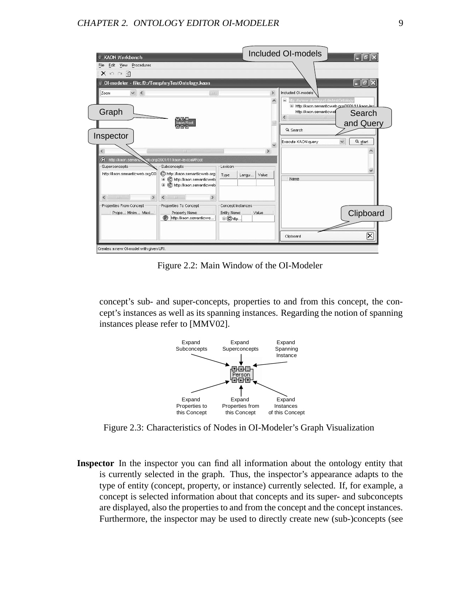#### CHAPTER 2. ONTOLOGY EDITOR OI-MODELER 9

| <b>KAON Workbench</b>                                       |                                                                                                   |                                                      |       |               | <b>Included OI-models</b>                                                      | llia.                   |
|-------------------------------------------------------------|---------------------------------------------------------------------------------------------------|------------------------------------------------------|-------|---------------|--------------------------------------------------------------------------------|-------------------------|
| File Edit View Procedures                                   |                                                                                                   |                                                      |       |               |                                                                                |                         |
| $X \cap \cap \emptyset$                                     |                                                                                                   |                                                      |       |               |                                                                                |                         |
| $\triangleq$ 01-modeler - file:/D:/Temp/myTestOntology.kaon |                                                                                                   |                                                      |       |               |                                                                                | 16 I S                  |
| $\checkmark$<br>$\left\langle \right\rangle$<br>Zoom        | III                                                                                               |                                                      |       | $\rightarrow$ | Included OI-models<br>ttp://www.dummyurl.de/testOntology<br>⊟                  |                         |
| Graph                                                       | 医上皮上腺                                                                                             |                                                      |       |               | E http://kaon.semanticweb.grg/2001/11/kaon-lex<br>http://kaon.semanticwel<br>≺ | Search                  |
| Inspector                                                   | kaon:Roof                                                                                         |                                                      |       |               | Q Search                                                                       | and Query               |
|                                                             | <b>IIII</b>                                                                                       |                                                      |       | ,             | Execute KAON query                                                             | Q start<br>$\checkmark$ |
| O)<br>http://kaon.semani<br>Superconcepts                   | veb.org/2001/11/kaon-lexical#Root<br>Subconcepts <sup>-</sup>                                     | Lexicon                                              |       |               |                                                                                |                         |
| http://kaon.semanticweb.org/20                              | C http://kaon.semanticweb.org<br>C http://kaon.semanticweb<br>⊕<br>Œ<br>C http://kaon.semanticweb | Type                                                 | Langu | Value         | Name                                                                           |                         |
| $\rightarrow$<br>$\leq$<br><b>THE</b>                       | $\rightarrow$<br>$\leq$<br><b>TILL</b>                                                            |                                                      |       |               |                                                                                |                         |
| Properties From Concept<br>Prope Minim Maxi                 | Properties To Concept<br>Property Name<br>$\circled{P}$<br>http://kaon.semanticwe                 | Concept Instances<br>Entity Name<br>$\boxplus$ Chttp |       | Value         |                                                                                | Clipboard               |
|                                                             |                                                                                                   |                                                      |       |               | Clipboard                                                                      |                         |

Figure 2.2: Main Window of the OI-Modeler

concept's sub- and super-concepts, properties to and from this concept, the concept's instances as well as its spanning instances. Regarding the notion of spanning instances please refer to [MMV02].



Figure 2.3: Characteristics of Nodes in OI-Modeler's Graph Visualization

**Inspector** In the inspector you can find all information about the ontology entity that is currently selected in the graph. Thus, the inspector's appearance adapts to the type of entity (concept, property, or instance) currently selected. If, for example, a concept is selected information about that concepts and its super- and subconcepts are displayed, also the properties to and from the concept and the concept instances. Furthermore, the inspector may be used to directly create new (sub-)concepts (see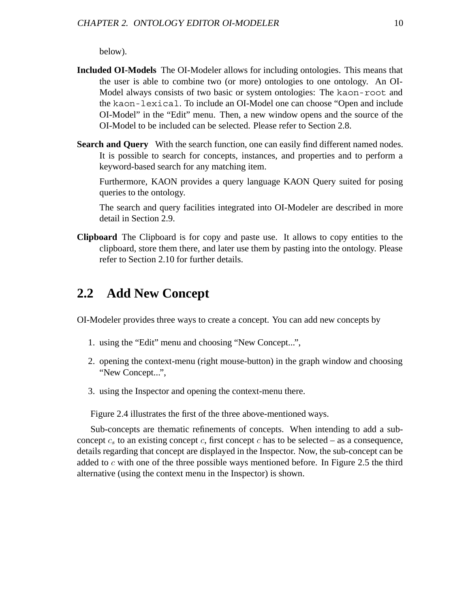below).

- **Included OI-Models** The OI-Modeler allows for including ontologies. This means that the user is able to combine two (or more) ontologies to one ontology. An OI-Model always consists of two basic or system ontologies: The kaon-root and the kaon-lexical. To include an OI-Model one can choose "Open and include OI-Model" in the "Edit" menu. Then, a new window opens and the source of the OI-Model to be included can be selected. Please refer to Section 2.8.
- **Search and Query** With the search function, one can easily find different named nodes. It is possible to search for concepts, instances, and properties and to perform a keyword-based search for any matching item.

Furthermore, KAON provides a query language KAON Query suited for posing queries to the ontology.

The search and query facilities integrated into OI-Modeler are described in more detail in Section 2.9.

**Clipboard** The Clipboard is for copy and paste use. It allows to copy entities to the clipboard, store them there, and later use them by pasting into the ontology. Please refer to Section 2.10 for further details.

## **2.2 Add New Concept**

OI-Modeler provides three ways to create a concept. You can add new concepts by

- 1. using the "Edit" menu and choosing "New Concept...",
- 2. opening the context-menu (right mouse-button) in the graph window and choosing "New Concept...",
- 3. using the Inspector and opening the context-menu there.

Figure 2.4 illustrates the first of the three above-mentioned ways.

Sub-concepts are thematic refinements of concepts. When intending to add a subconcept  $c_s$  to an existing concept  $c_s$ , first concept  $c$  has to be selected – as a consequence, details regarding that concept are displayed in the Inspector. Now, the sub-concept can be added to *c* with one of the three possible ways mentioned before. In Figure 2.5 the third alternative (using the context menu in the Inspector) is shown.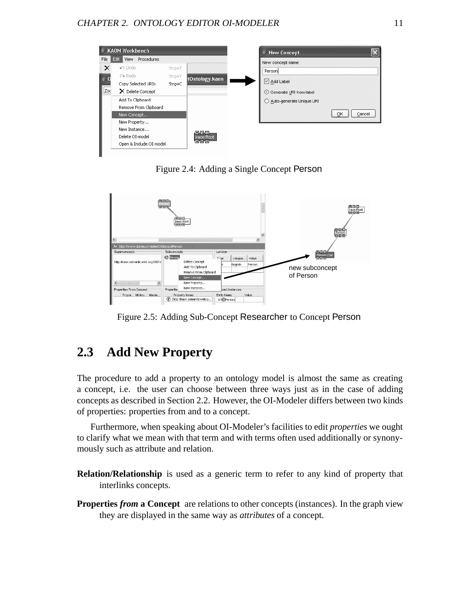

Figure 2.4: Adding a Single Concept Person



Figure 2.5: Adding Sub-Concept Researcher to Concept Person

## **2.3 Add New Property**

The procedure to add a property to an ontology model is almost the same as creating a concept, i.e. the user can choose between three ways just as in the case of adding concepts as described in Section 2.2. However, the OI-Modeler differs between two kinds of properties: properties from and to a concept.

Furthermore, when speaking about OI-Modeler's facilities to edit *properties* we ought to clarify what we mean with that term and with terms often used additionally or synonymously such as attribute and relation.

- **Relation/Relationship** is used as a generic term to refer to any kind of property that interlinks concepts.
- **Properties** *from* **a Concept** are relations to other concepts (instances). In the graph view they are displayed in the same way as *attributes* of a concept.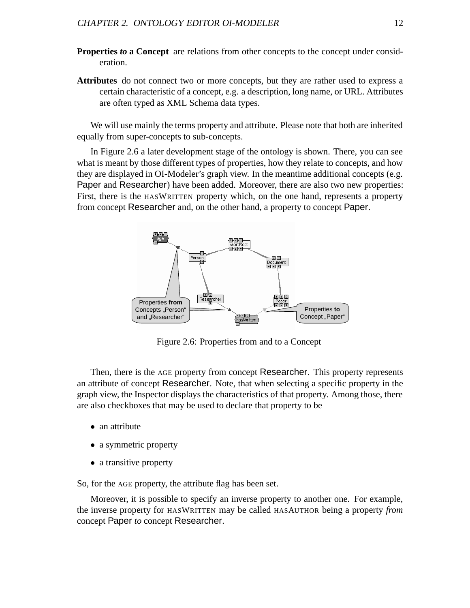- **Properties to a Concept** are relations from other concepts to the concept under consideration.
- **Attributes** do not connect two or more concepts, but they are rather used to express a certain characteristic of a concept, e.g. a description, long name, or URL. Attributes are often typed as XML Schema data types.

We will use mainly the terms property and attribute. Please note that both are inherited equally from super-concepts to sub-concepts.

In Figure 2.6 a later development stage of the ontology is shown. There, you can see what is meant by those different types of properties, how they relate to concepts, and how they are displayed in OI-Modeler's graph view. In the meantime additional concepts (e.g. Paper and Researcher) have been added. Moreover, there are also two new properties: First, there is the HASWRITTEN property which, on the one hand, represents a property from concept Researcher and, on the other hand, a property to concept Paper.



Figure 2.6: Properties from and to a Concept

Then, there is the AGE property from concept Researcher. This property represents an attribute of concept Researcher. Note, that when selecting a specific property in the graph view, the Inspector displays the characteristics of that property. Among those, there are also checkboxes that may be used to declare that property to be

- an attribute
- a symmetric property
- a transitive property

So, for the AGE property, the attribute flag has been set.

Moreover, it is possible to specify an inverse property to another one. For example, the inverse property for HASWRITTEN may be called HASAUTHOR being a property *from* concept Paper *to* concept Researcher.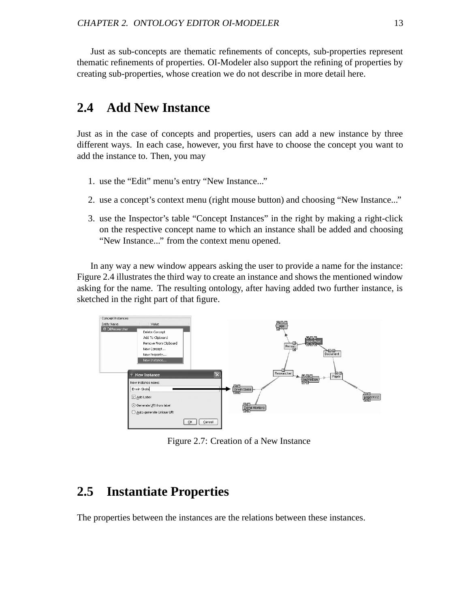Just as sub-concepts are thematic refinements of concepts, sub-properties represent thematic refinements of properties. OI-Modeler also support the refining of properties by creating sub-properties, whose creation we do not describe in more detail here.

## **2.4 Add New Instance**

Just as in the case of concepts and properties, users can add a new instance by three different ways. In each case, however, you first have to choose the concept you want to add the instance to. Then, you may

- 1. use the "Edit" menu's entry "New Instance..."
- 2. use a concept's context menu (right mouse button) and choosing "New Instance..."
- 3. use the Inspector's table "Concept Instances" in the right by making a right-click on the respective concept name to which an instance shall be added and choosing "New Instance..." from the context menu opened.

In any way a new window appears asking the user to provide a name for the instance: Figure 2.4 illustrates the third way to create an instance and shows the mentioned window asking for the name. The resulting ontology, after having added two further instance, is sketched in the right part of that figure.



Figure 2.7: Creation of a New Instance

## **2.5 Instantiate Properties**

The properties between the instances are the relations between these instances.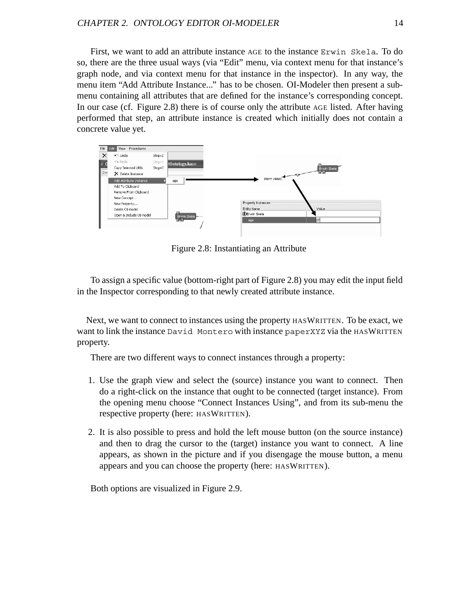First, we want to add an attribute instance AGE to the instance Erwin Skela. To do so, there are the three usual ways (via "Edit" menu, via context menu for that instance's graph node, and via context menu for that instance in the inspector). In any way, the menu item "Add Attribute Instance..." has to be chosen. OI-Modeler then present a submenu containing all attributes that are defined for the instance's corresponding concept. In our case (cf. Figure 2.8) there is of course only the attribute AGE listed. After having performed that step, an attribute instance is created which initially does not contain a concrete value yet.



Figure 2.8: Instantiating an Attribute

To assign a specific value (bottom-right part of Figure 2.8) you may edit the input field in the Inspector corresponding to that newly created attribute instance.

Next, we want to connect to instances using the property HASWRITTEN. To be exact, we want to link the instance David Montero with instance paperXYZ via the HASWRITTEN property.

There are two different ways to connect instances through a property:

- 1. Use the graph view and select the (source) instance you want to connect. Then do a right-click on the instance that ought to be connected (target instance). From the opening menu choose "Connect Instances Using", and from its sub-menu the respective property (here: HASWRITTEN).
- 2. It is also possible to press and hold the left mouse button (on the source instance) and then to drag the cursor to the (target) instance you want to connect. A line appears, as shown in the picture and if you disengage the mouse button, a menu appears and you can choose the property (here: HASWRITTEN).

Both options are visualized in Figure 2.9.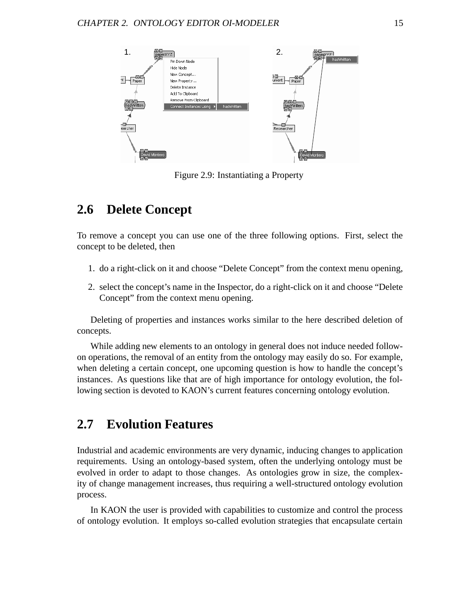

Figure 2.9: Instantiating a Property

## **2.6 Delete Concept**

To remove a concept you can use one of the three following options. First, select the concept to be deleted, then

- 1. do a right-click on it and choose "Delete Concept" from the context menu opening,
- 2. select the concept's name in the Inspector, do a right-click on it and choose "Delete Concept" from the context menu opening.

Deleting of properties and instances works similar to the here described deletion of concepts.

While adding new elements to an ontology in general does not induce needed followon operations, the removal of an entity from the ontology may easily do so. For example, when deleting a certain concept, one upcoming question is how to handle the concept's instances. As questions like that are of high importance for ontology evolution, the following section is devoted to KAON's current features concerning ontology evolution.

## **2.7 Evolution Features**

Industrial and academic environments are very dynamic, inducing changes to application requirements. Using an ontology-based system, often the underlying ontology must be evolved in order to adapt to those changes. As ontologies grow in size, the complexity of change management increases, thus requiring a well-structured ontology evolution process.

In KAON the user is provided with capabilities to customize and control the process of ontology evolution. It employs so-called evolution strategies that encapsulate certain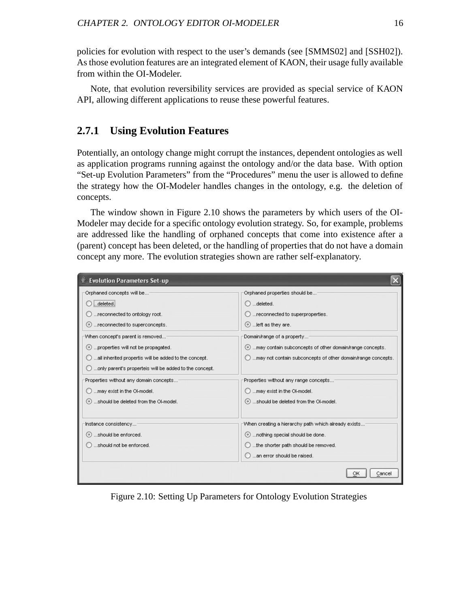policies for evolution with respect to the user's demands (see [SMMS02] and [SSH02]). As those evolution features are an integrated element of KAON, their usage fully available from within the OI-Modeler.

Note, that evolution reversibility services are provided as special service of KAON API, allowing different applications to reuse these powerful features.

### **2.7.1 Using Evolution Features**

Potentially, an ontology change might corrupt the instances, dependent ontologies as well as application programs running against the ontology and/or the data base. With option "Set-up Evolution Parameters" from the "Procedures" menu the user is allowed to define the strategy how the OI-Modeler handles changes in the ontology, e.g. the deletion of concepts.

The window shown in Figure 2.10 shows the parameters by which users of the OI-Modeler may decide for a specific ontology evolution strategy. So, for example, problems are addressed like the handling of orphaned concepts that come into existence after a (parent) concept has been deleted, or the handling of properties that do not have a domain concept any more. The evolution strategies shown are rather self-explanatory.

| <b>Evolution Parameters Set-up</b>                     |                                                                        |
|--------------------------------------------------------|------------------------------------------------------------------------|
| Orphaned concepts will be                              | Orphaned properties should be                                          |
| .deleted                                               | $\bigcirc$ deleted.                                                    |
| reconnected to ontology root.                          | reconnected to superproperties.                                        |
| reconnected to superconcepts.                          | $\odot$ left as they are.                                              |
| When concept's parent is removed                       | Domain/range of a property                                             |
| properties will not be propagated.                     | may contain subconcepts of other domain/range concepts.                |
| all inherited propertis will be added to the concept.  | $\bigcirc$ may not contain subconcepts of other domain/range concepts. |
| only parent's properteis will be added to the concept. |                                                                        |
| Properties without any domain concepts                 | Properties without any range concepts                                  |
| may exist in the OI-model.                             | $\bigcirc$ may exist in the OI-model.                                  |
| should be deleted from the OI-model.                   | should be deleted from the Ol-model.                                   |
| Instance consistency <sup>.</sup>                      | When creating a hierarchy path which already exists                    |
| should be enforced.                                    | nothing special should be done.                                        |
| should not be enforced.                                | $\bigcirc$ the shorter path should be removed.                         |
|                                                        | an error should be raised.                                             |
|                                                        | Cancel<br>ОК                                                           |

Figure 2.10: Setting Up Parameters for Ontology Evolution Strategies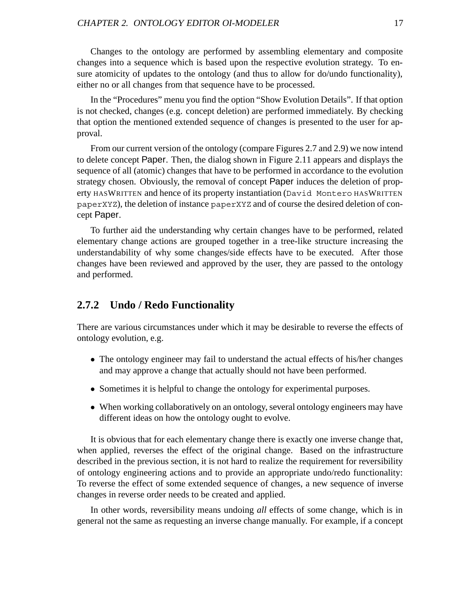Changes to the ontology are performed by assembling elementary and composite changes into a sequence which is based upon the respective evolution strategy. To ensure atomicity of updates to the ontology (and thus to allow for do/undo functionality), either no or all changes from that sequence have to be processed.

In the "Procedures" menu you find the option "Show Evolution Details". If that option is not checked, changes (e.g. concept deletion) are performed immediately. By checking that option the mentioned extended sequence of changes is presented to the user for approval.

From our current version of the ontology (compare Figures 2.7 and 2.9) we now intend to delete concept Paper. Then, the dialog shown in Figure 2.11 appears and displays the sequence of all (atomic) changes that have to be performed in accordance to the evolution strategy chosen. Obviously, the removal of concept Paper induces the deletion of property HASWRITTEN and hence of its property instantiation (David Montero HASWRITTEN paperXYZ), the deletion of instance paperXYZ and of course the desired deletion of concept Paper.

To further aid the understanding why certain changes have to be performed, related elementary change actions are grouped together in a tree-like structure increasing the understandability of why some changes/side effects have to be executed. After those changes have been reviewed and approved by the user, they are passed to the ontology and performed.

#### **2.7.2 Undo / Redo Functionality**

There are various circumstances under which it may be desirable to reverse the effects of ontology evolution, e.g.

- The ontology engineer may fail to understand the actual effects of his/her changes and may approve a change that actually should not have been performed.
- Sometimes it is helpful to change the ontology for experimental purposes.
- When working collaboratively on an ontology, several ontology engineers may have different ideas on how the ontology ought to evolve.

It is obvious that for each elementary change there is exactly one inverse change that, when applied, reverses the effect of the original change. Based on the infrastructure described in the previous section, it is not hard to realize the requirement for reversibility of ontology engineering actions and to provide an appropriate undo/redo functionality: To reverse the effect of some extended sequence of changes, a new sequence of inverse changes in reverse order needs to be created and applied.

In other words, reversibility means undoing *all* effects of some change, which is in general not the same as requesting an inverse change manually. For example, if a concept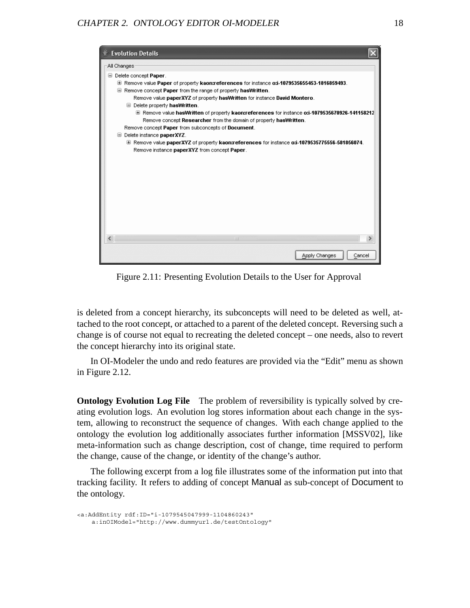#### CHAPTER 2. ONTOLOGY EDITOR OI-MODELER 18



Figure 2.11: Presenting Evolution Details to the User for Approval

is deleted from a concept hierarchy, its subconcepts will need to be deleted as well, attached to the root concept, or attached to a parent of the deleted concept. Reversing such a change is of course not equal to recreating the deleted concept – one needs, also to revert the concept hierarchy into its original state.

In OI-Modeler the undo and redo features are provided via the "Edit" menu as shown in Figure 2.12.

**Ontology Evolution Log File** The problem of reversibility is typically solved by creating evolution logs. An evolution log stores information about each change in the system, allowing to reconstruct the sequence of changes. With each change applied to the ontology the evolution log additionally associates further information [MSSV02], like meta-information such as change description, cost of change, time required to perform the change, cause of the change, or identity of the change's author.

The following excerpt from a log file illustrates some of the information put into that tracking facility. It refers to adding of concept Manual as sub-concept of Document to the ontology.

```
<a:AddEntity rdf:ID="i-1079545047999-1104860243"
    a:inOIModel="http://www.dummyurl.de/testOntology"
```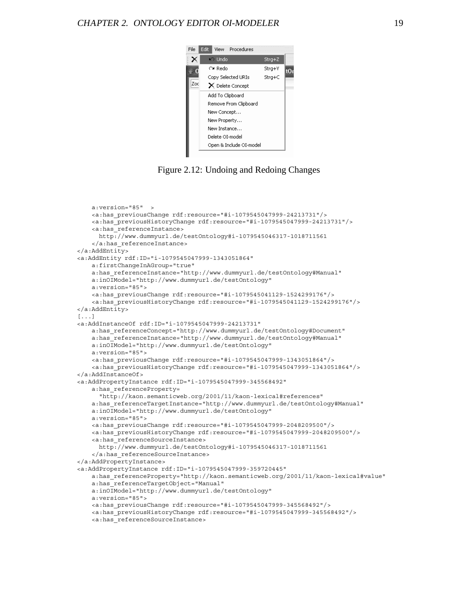

Figure 2.12: Undoing and Redoing Changes

```
a:version="85" >
   <a:has_previousChange rdf:resource="#i-1079545047999-24213731"/>
   <a:has_previousHistoryChange rdf:resource="#i-1079545047999-24213731"/>
   <a:has_referenceInstance>
     http://www.dummyurl.de/testOntology#i-1079545046317-1018711561
    </a:has_referenceInstance>
</a:AddEntity>
<a:AddEntity rdf:ID="i-1079545047999-1343051864"
   a:firstChangeInAGroup="true"
   a:has_referenceInstance="http://www.dummyurl.de/testOntology#Manual"
   a:inOIModel="http://www.dummyurl.de/testOntology"
   a:version="85">
   <a:has_previousChange rdf:resource="#i-1079545041129-1524299176"/>
    <a:has_previousHistoryChange rdf:resource="#i-1079545041129-1524299176"/>
</a:AddEntity>
[...]
<a:AddInstanceOf rdf:ID="i-1079545047999-24213731"
   a:has referenceConcept="http://www.dummyurl.de/testOntology#Document"
   a:has referenceInstance="http://www.dummyurl.de/testOntology#Manual"
   a:inOIModel="http://www.dummyurl.de/testOntology"
   a:version="85">
   <a:has_previousChange rdf:resource="#i-1079545047999-1343051864"/>
    <a:has_previousHistoryChange rdf:resource="#i-1079545047999-1343051864"/>
</a:AddInstanceOf>
<a:AddPropertyInstance rdf:ID="i-1079545047999-345568492"
   a:has_referenceProperty=
      "http://kaon.semanticweb.org/2001/11/kaon-lexical#references"
   a:has referenceTargetInstance="http://www.dummyurl.de/testOntology#Manual"
   a:inOIModel="http://www.dummyurl.de/testOntology"
   a:version="85">
   <a:has_previousChange rdf:resource="#i-1079545047999-2048209500"/>
   <a:has_previousHistoryChange rdf:resource="#i-1079545047999-2048209500"/>
   <a:has_referenceSourceInstance>
     http://www.dummyurl.de/testOntology#i-1079545046317-1018711561
    </a:has_referenceSourceInstance>
</a:AddPropertyInstance>
<a:AddPropertyInstance rdf:ID="i-1079545047999-359720445"
   a:has_referenceProperty="http://kaon.semanticweb.org/2001/11/kaon-lexical#value"
   a:has_referenceTargetObject="Manual"
   a:inOIModel="http://www.dummyurl.de/testOntology"
   a:version="85">
   <a:has_previousChange rdf:resource="#i-1079545047999-345568492"/>
   <a:has_previousHistoryChange rdf:resource="#i-1079545047999-345568492"/>
   <a:has_referenceSourceInstance>
```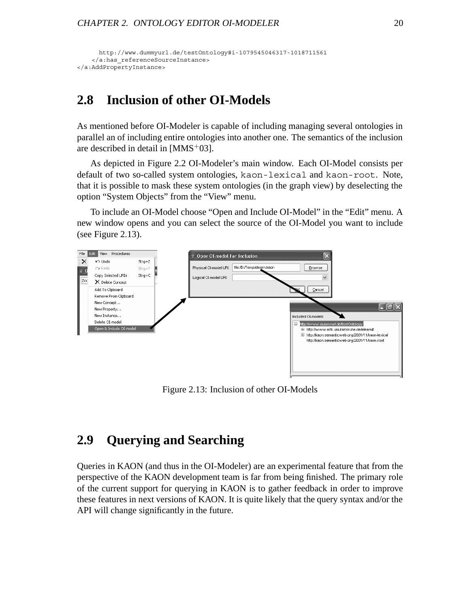```
http://www.dummyurl.de/testOntology#i-1079545046317-1018711561
    </a:has_referenceSourceInstance>
</a:AddPropertyInstance>
```
## **2.8 Inclusion of other OI-Models**

As mentioned before OI-Modeler is capable of including managing several ontologies in parallel an of including entire ontologies into another one. The semantics of the inclusion are described in detail in  $[MMS<sup>+</sup>03]$ .

As depicted in Figure 2.2 OI-Modeler's main window. Each OI-Model consists per default of two so-called system ontologies, kaon-lexical and kaon-root. Note, that it is possible to mask these system ontologies (in the graph view) by deselecting the option "System Objects" from the "View" menu.

To include an OI-Model choose "Open and Include OI-Model" in the "Edit" menu. A new window opens and you can select the source of the OI-Model you want to include (see Figure 2.13).



Figure 2.13: Inclusion of other OI-Models

## **2.9 Querying and Searching**

Queries in KAON (and thus in the OI-Modeler) are an experimental feature that from the perspective of the KAON development team is far from being finished. The primary role of the current support for querying in KAON is to gather feedback in order to improve these features in next versions of KAON. It is quite likely that the query syntax and/or the API will change significantly in the future.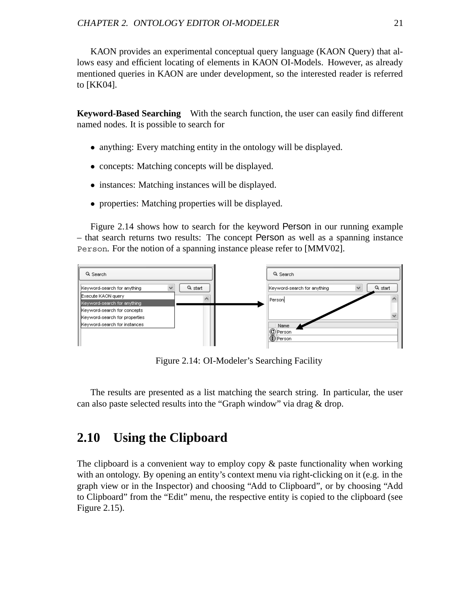KAON provides an experimental conceptual query language (KAON Query) that allows easy and efficient locating of elements in KAON OI-Models. However, as already mentioned queries in KAON are under development, so the interested reader is referred to [KK04].

**Keyword-Based Searching** With the search function, the user can easily find different named nodes. It is possible to search for

- anything: Every matching entity in the ontology will be displayed.
- concepts: Matching concepts will be displayed.
- instances: Matching instances will be displayed.
- properties: Matching properties will be displayed.

Figure 2.14 shows how to search for the keyword Person in our running example – that search returns two results: The concept Person as well as a spanning instance Person. For the notion of a spanning instance please refer to [MMV02].



Figure 2.14: OI-Modeler's Searching Facility

The results are presented as a list matching the search string. In particular, the user can also paste selected results into the "Graph window" via drag & drop.

## **2.10 Using the Clipboard**

The clipboard is a convenient way to employ copy  $\&$  paste functionality when working with an ontology. By opening an entity's context menu via right-clicking on it (e.g. in the graph view or in the Inspector) and choosing "Add to Clipboard", or by choosing "Add to Clipboard" from the "Edit" menu, the respective entity is copied to the clipboard (see Figure 2.15).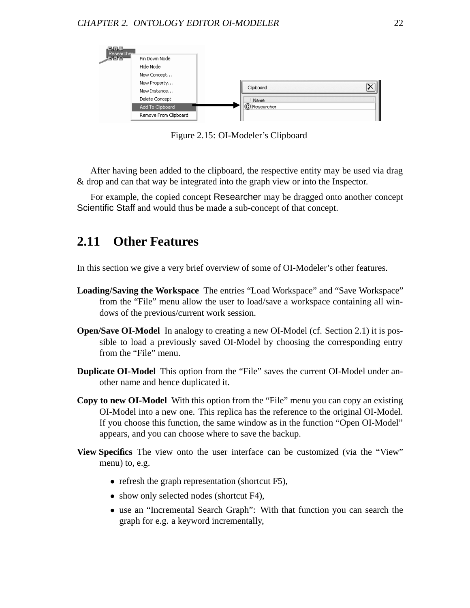

Figure 2.15: OI-Modeler's Clipboard

After having been added to the clipboard, the respective entity may be used via drag & drop and can that way be integrated into the graph view or into the Inspector.

For example, the copied concept Researcher may be dragged onto another concept Scientific Staff and would thus be made a sub-concept of that concept.

## **2.11 Other Features**

In this section we give a very brief overview of some of OI-Modeler's other features.

- **Loading/Saving the Workspace** The entries "Load Workspace" and "Save Workspace" from the "File" menu allow the user to load/save a workspace containing all windows of the previous/current work session.
- **Open/Save OI-Model** In analogy to creating a new OI-Model (cf. Section 2.1) it is possible to load a previously saved OI-Model by choosing the corresponding entry from the "File" menu.
- **Duplicate OI-Model** This option from the "File" saves the current OI-Model under another name and hence duplicated it.
- **Copy to new OI-Model** With this option from the "File" menu you can copy an existing OI-Model into a new one. This replica has the reference to the original OI-Model. If you choose this function, the same window as in the function "Open OI-Model" appears, and you can choose where to save the backup.
- **View Specifics** The view onto the user interface can be customized (via the "View" menu) to, e.g.
	- refresh the graph representation (shortcut F5),
	- show only selected nodes (shortcut F4),
	- use an "Incremental Search Graph": With that function you can search the graph for e.g. a keyword incrementally,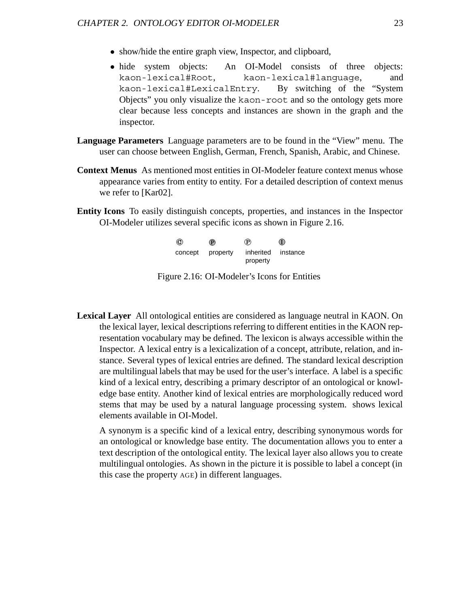- show/hide the entire graph view, Inspector, and clipboard,
- hide system objects: An OI-Model consists of three objects:<br>kaon-lexical#Root. kaon-lexical#language. and kaon-lexical#language, kaon-lexical#LexicalEntry. By switching of the "System Objects" you only visualize the kaon-root and so the ontology gets more clear because less concepts and instances are shown in the graph and the inspector.
- **Language Parameters** Language parameters are to be found in the "View" menu. The user can choose between English, German, French, Spanish, Arabic, and Chinese.
- **Context Menus** As mentioned most entities in OI-Modeler feature context menus whose appearance varies from entity to entity. For a detailed description of context menus we refer to [Kar02].
- **Entity Icons** To easily distinguish concepts, properties, and instances in the Inspector OI-Modeler utilizes several specific icons as shown in Figure 2.16.

| $^{\circ}$ | $^{\circ}$ | P)        | $^\circledR$ |
|------------|------------|-----------|--------------|
| concept    | property   | inherited | instance     |
|            |            | property  |              |

Figure 2.16: OI-Modeler's Icons for Entities

**Lexical Layer** All ontological entities are considered as language neutral in KAON. On the lexical layer, lexical descriptions referring to different entities in the KAON representation vocabulary may be defined. The lexicon is always accessible within the Inspector. A lexical entry is a lexicalization of a concept, attribute, relation, and instance. Several types of lexical entries are defined. The standard lexical description are multilingual labels that may be used for the user's interface. A label is a specific kind of a lexical entry, describing a primary descriptor of an ontological or knowledge base entity. Another kind of lexical entries are morphologically reduced word stems that may be used by a natural language processing system. shows lexical elements available in OI-Model.

A synonym is a specific kind of a lexical entry, describing synonymous words for an ontological or knowledge base entity. The documentation allows you to enter a text description of the ontological entity. The lexical layer also allows you to create multilingual ontologies. As shown in the picture it is possible to label a concept (in this case the property AGE) in different languages.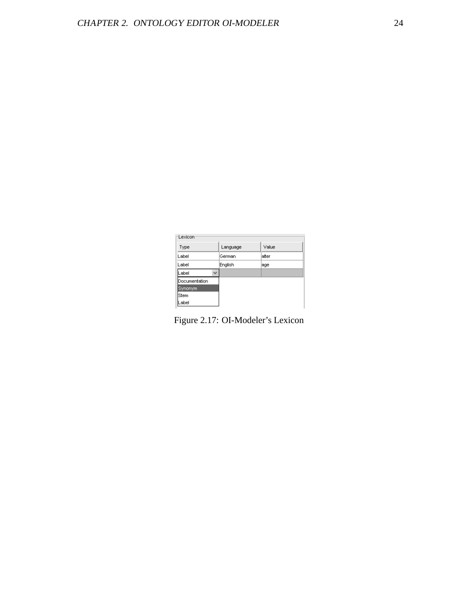| Lexicon       |          |        |  |  |  |  |  |
|---------------|----------|--------|--|--|--|--|--|
| Type          | Language | Value  |  |  |  |  |  |
| Label         | German   | lalter |  |  |  |  |  |
| Label         | English  | age    |  |  |  |  |  |
| Label         |          |        |  |  |  |  |  |
| Documentation |          |        |  |  |  |  |  |
| Synonym       |          |        |  |  |  |  |  |
| lStem         |          |        |  |  |  |  |  |
| Label         |          |        |  |  |  |  |  |

Figure 2.17: OI-Modeler's Lexicon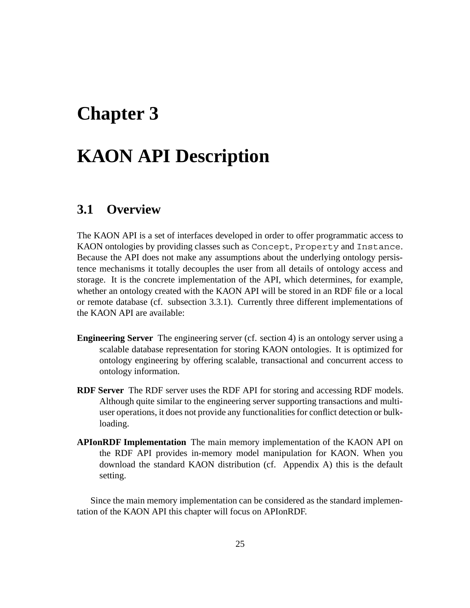# **Chapter 3**

# **KAON API Description**

## **3.1 Overview**

The KAON API is a set of interfaces developed in order to offer programmatic access to KAON ontologies by providing classes such as Concept, Property and Instance. Because the API does not make any assumptions about the underlying ontology persistence mechanisms it totally decouples the user from all details of ontology access and storage. It is the concrete implementation of the API, which determines, for example, whether an ontology created with the KAON API will be stored in an RDF file or a local or remote database (cf. subsection 3.3.1). Currently three different implementations of the KAON API are available:

- **Engineering Server** The engineering server (cf. section 4) is an ontology server using a scalable database representation for storing KAON ontologies. It is optimized for ontology engineering by offering scalable, transactional and concurrent access to ontology information.
- **RDF Server** The RDF server uses the RDF API for storing and accessing RDF models. Although quite similar to the engineering server supporting transactions and multiuser operations, it does not provide any functionalities for conflict detection or bulkloading.
- **APIonRDF Implementation** The main memory implementation of the KAON API on the RDF API provides in-memory model manipulation for KAON. When you download the standard KAON distribution (cf. Appendix A) this is the default setting.

Since the main memory implementation can be considered as the standard implementation of the KAON API this chapter will focus on APIonRDF.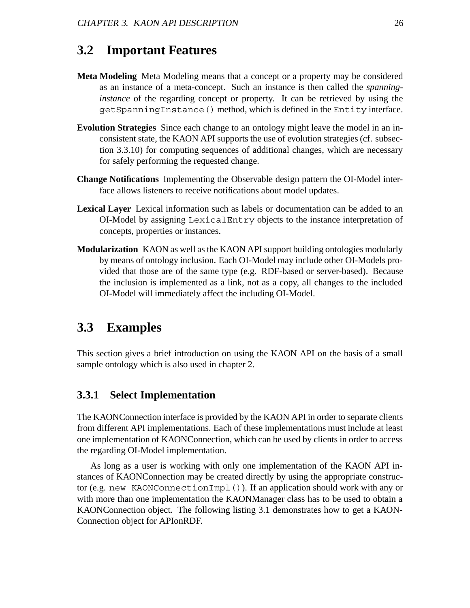## **3.2 Important Features**

- **Meta Modeling** Meta Modeling means that a concept or a property may be considered as an instance of a meta-concept. Such an instance is then called the *spanninginstance* of the regarding concept or property. It can be retrieved by using the getSpanningInstance() method, which is defined in the Entity interface.
- **Evolution Strategies** Since each change to an ontology might leave the model in an inconsistent state, the KAON API supports the use of evolution strategies (cf. subsection 3.3.10) for computing sequences of additional changes, which are necessary for safely performing the requested change.
- **Change Notifications** Implementing the Observable design pattern the OI-Model interface allows listeners to receive notifications about model updates.
- **Lexical Layer** Lexical information such as labels or documentation can be added to an OI-Model by assigning LexicalEntry objects to the instance interpretation of concepts, properties or instances.
- **Modularization** KAON as well as the KAON API support building ontologies modularly by means of ontology inclusion. Each OI-Model may include other OI-Models provided that those are of the same type (e.g. RDF-based or server-based). Because the inclusion is implemented as a link, not as a copy, all changes to the included OI-Model will immediately affect the including OI-Model.

## **3.3 Examples**

This section gives a brief introduction on using the KAON API on the basis of a small sample ontology which is also used in chapter 2.

### **3.3.1 Select Implementation**

The KAONConnection interface is provided by the KAON API in order to separate clients from different API implementations. Each of these implementations must include at least one implementation of KAONConnection, which can be used by clients in order to access the regarding OI-Model implementation.

As long as a user is working with only one implementation of the KAON API instances of KAONConnection may be created directly by using the appropriate constructor (e.g. new KAONConnectionImpl()). If an application should work with any or with more than one implementation the KAONManager class has to be used to obtain a KAONConnection object. The following listing 3.1 demonstrates how to get a KAON-Connection object for APIonRDF.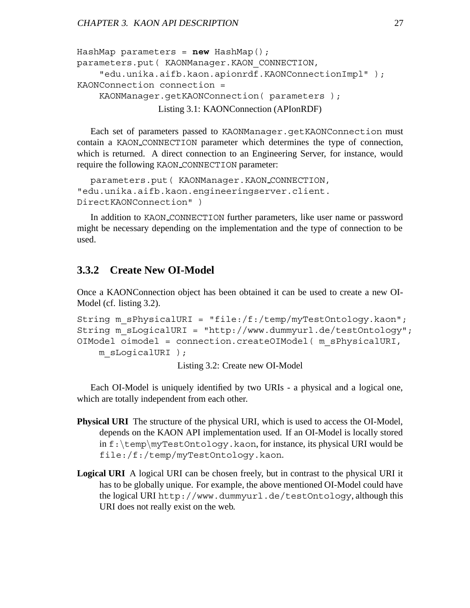```
HashMap parameters = new HashMap();
parameters.put( KAONManager.KAON_CONNECTION,
    "edu.unika.aifb.kaon.apionrdf.KAONConnectionImpl" );
KAONConnection connection =
    KAONManager.getKAONConnection( parameters );
               Listing 3.1: KAONConnection (APIonRDF)
```
Each set of parameters passed to KAONManager.getKAONConnection must contain a KAON CONNECTION parameter which determines the type of connection, which is returned. A direct connection to an Engineering Server, for instance, would require the following KAON CONNECTION parameter:

```
parameters.put( KAONManager.KAON CONNECTION,
"edu.unika.aifb.kaon.engineeringserver.client.
DirectKAONConnection" )
```
In addition to KAON CONNECTION further parameters, like user name or password might be necessary depending on the implementation and the type of connection to be used.

### **3.3.2 Create New OI-Model**

Once a KAONConnection object has been obtained it can be used to create a new OI-Model (cf. listing 3.2).

```
String m sPhysicalURI = "file:/f:/temp/myTestOntology.kaon";
String m_sLogicalURI = "http://www.dummyurl.de/testOntology";
OIModel oimodel = connection.createOIModel( m_sPhysicalURI,
    m_sLogicalURI );
```
Listing 3.2: Create new OI-Model

Each OI-Model is uniquely identified by two URIs - a physical and a logical one, which are totally independent from each other.

- **Physical URI** The structure of the physical URI, which is used to access the OI-Model, depends on the KAON API implementation used. If an OI-Model is locally stored in f:\temp\myTestOntology.kaon, for instance, its physical URI would be file:/f:/temp/myTestOntology.kaon.
- **Logical URI** A logical URI can be chosen freely, but in contrast to the physical URI it has to be globally unique. For example, the above mentioned OI-Model could have the logical URI http://www.dummyurl.de/testOntology, although this URI does not really exist on the web.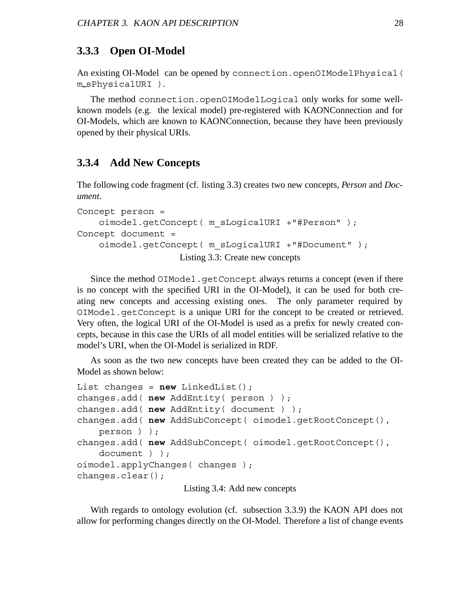### **3.3.3 Open OI-Model**

An existing OI-Model can be opened by connection.openOIModelPhysical( m sPhysicalURI ).

The method connection.openOIModelLogical only works for some wellknown models (e.g. the lexical model) pre-registered with KAONConnection and for OI-Models, which are known to KAONConnection, because they have been previously opened by their physical URIs.

### **3.3.4 Add New Concepts**

The following code fragment (cf. listing 3.3) creates two new concepts, *Person* and *Document*.

```
Concept person =
    oimodel.getConcept( m_sLogicalURI +"#Person" );
Concept document =
    oimodel.getConcept( m_sLogicalURI +"#Document" );
                    Listing 3.3: Create new concepts
```
Since the method OIModel.getConcept always returns a concept (even if there is no concept with the specified URI in the OI-Model), it can be used for both creating new concepts and accessing existing ones. The only parameter required by OIModel.getConcept is a unique URI for the concept to be created or retrieved. Very often, the logical URI of the OI-Model is used as a prefix for newly created concepts, because in this case the URIs of all model entities will be serialized relative to the model's URI, when the OI-Model is serialized in RDF.

As soon as the two new concepts have been created they can be added to the OI-Model as shown below:

```
List changes = new LinkedList();
changes.add( new AddEntity( person ) );
changes.add( new AddEntity( document ) );
changes.add( new AddSubConcept( oimodel.getRootConcept(),
    person ) );
changes.add( new AddSubConcept( oimodel.getRootConcept(),
    document ) );
oimodel.applyChanges( changes );
changes.clear();
```
Listing 3.4: Add new concepts

With regards to ontology evolution (cf. subsection 3.3.9) the KAON API does not allow for performing changes directly on the OI-Model. Therefore a list of change events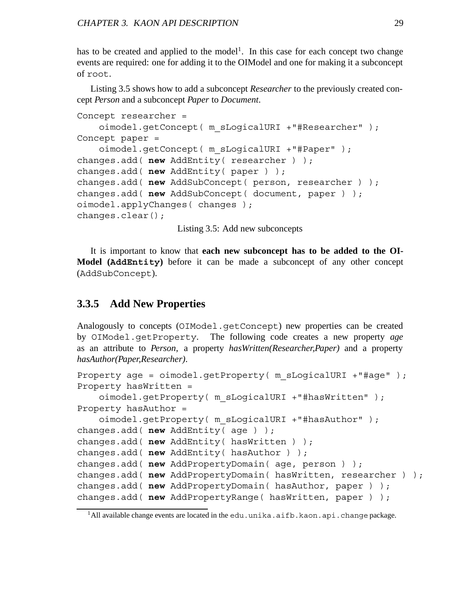has to be created and applied to the model<sup>1</sup>. In this case for each concept two change events are required: one for adding it to the OIModel and one for making it a subconcept of root.

Listing 3.5 shows how to add a subconcept *Researcher* to the previously created concept *Person* and a subconcept *Paper* to *Document*.

```
Concept researcher =
    oimodel.getConcept( m_sLogicalURI +"#Researcher" );
Concept paper =
    oimodel.getConcept( m_sLogicalURI +"#Paper" );
changes.add( new AddEntity( researcher ) );
changes.add( new AddEntity( paper ) );
changes.add( new AddSubConcept( person, researcher ) );
changes.add( new AddSubConcept( document, paper ) );
oimodel.applyChanges( changes );
changes.clear();
```
Listing 3.5: Add new subconcepts

It is important to know that **each new subconcept has to be added to the OI-Model (AddEntity)** before it can be made a subconcept of any other concept (AddSubConcept).

### **3.3.5 Add New Properties**

Analogously to concepts (OIModel.getConcept) new properties can be created by OIModel.getProperty. The following code creates a new property *age* as an attribute to *Person*, a property *hasWritten(Researcher,Paper)* and a property *hasAuthor(Paper,Researcher)*.

```
Property age = oimodel.getProperty( m sLogicalURI +"#age" );
Property hasWritten =
    oimodel.getProperty( m_sLogicalURI +"#hasWritten" );
Property hasAuthor =
    oimodel.getProperty( m_sLogicalURI +"#hasAuthor" );
changes.add( new AddEntity( age ) );
changes.add( new AddEntity( hasWritten ) );
changes.add( new AddEntity( hasAuthor ) );
changes.add( new AddPropertyDomain( age, person ) );
changes.add( new AddPropertyDomain( hasWritten, researcher ) );
changes.add( new AddPropertyDomain( hasAuthor, paper ) );
changes.add( new AddPropertyRange( hasWritten, paper ) );
```
<sup>&</sup>lt;sup>1</sup>All available change events are located in the edu.unika.aifb.kaon.api.change package.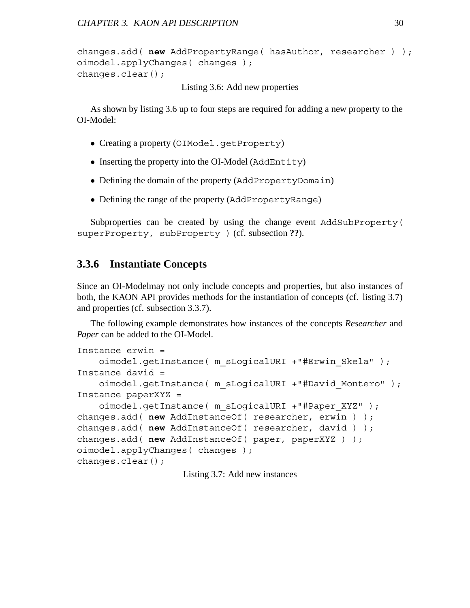```
changes.add( new AddPropertyRange( hasAuthor, researcher ) );
oimodel.applyChanges( changes );
changes.clear();
```
Listing 3.6: Add new properties

As shown by listing 3.6 up to four steps are required for adding a new property to the OI-Model:

- Creating a property (OIModel.getProperty)
- Inserting the property into the OI-Model (AddEntity)
- Defining the domain of the property (AddPropertyDomain)
- Defining the range of the property (AddPropertyRange)

Subproperties can be created by using the change event AddSubProperty( superProperty, subProperty ) (cf. subsection **??**).

### **3.3.6 Instantiate Concepts**

Since an OI-Modelmay not only include concepts and properties, but also instances of both, the KAON API provides methods for the instantiation of concepts (cf. listing 3.7) and properties (cf. subsection 3.3.7).

The following example demonstrates how instances of the concepts *Researcher* and *Paper* can be added to the OI-Model.

```
Instance erwin =
    oimodel.getInstance( m_sLogicalURI +"#Erwin_Skela" );
Instance david =
    oimodel.getInstance( m_sLogicalURI +"#David_Montero" );
Instance paperXYZ =
    oimodel.getInstance( m_sLogicalURI +"#Paper_XYZ" );
changes.add( new AddInstanceOf( researcher, erwin ) );
changes.add( new AddInstanceOf( researcher, david ) );
changes.add( new AddInstanceOf( paper, paperXYZ ) );
oimodel.applyChanges( changes );
changes.clear();
```
Listing 3.7: Add new instances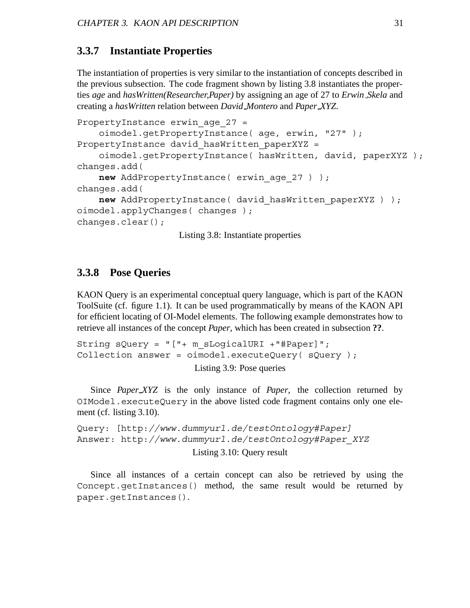#### **3.3.7 Instantiate Properties**

The instantiation of properties is very similar to the instantiation of concepts described in the previous subsection. The code fragment shown by listing 3.8 instantiates the properties *age* and *hasWritten(Researcher,Paper)* by assigning an age of 27 to *Erwin Skela* and creating a *hasWritten* relation between *David Montero* and *Paper XYZ*.

```
PropertyInstance erwin age 27 =
    oimodel.getPropertyInstance( age, erwin, "27" );
PropertyInstance david hasWritten paperXYZ =
    oimodel.getPropertyInstance( hasWritten, david, paperXYZ );
changes.add(
    new AddPropertyInstance( erwin age 27 ) );
changes.add(
    new AddPropertyInstance( david_hasWritten_paperXYZ ) );
oimodel.applyChanges( changes );
changes.clear();
```
Listing 3.8: Instantiate properties

### **3.3.8 Pose Queries**

KAON Query is an experimental conceptual query language, which is part of the KAON ToolSuite (cf. figure 1.1). It can be used programmatically by means of the KAON API for efficient locating of OI-Model elements. The following example demonstrates how to retrieve all instances of the concept *Paper*, which has been created in subsection **??**.

```
String sQuery = "["+ m_sLogicalURI +"#Paper]";
Collection answer = oimodel.executeQuery( sQuery );
                       Listing 3.9: Pose queries
```
Since *Paper XYZ* is the only instance of *Paper*, the collection returned by OIModel.executeQuery in the above listed code fragment contains only one element (cf. listing 3.10).

```
Query: [http://www.dummyurl.de/testOntology#Paper]
Answer: http://www.dummyurl.de/testOntology#Paper_XYZ
                      Listing 3.10: Query result
```
Since all instances of a certain concept can also be retrieved by using the Concept.getInstances() method, the same result would be returned by paper.getInstances().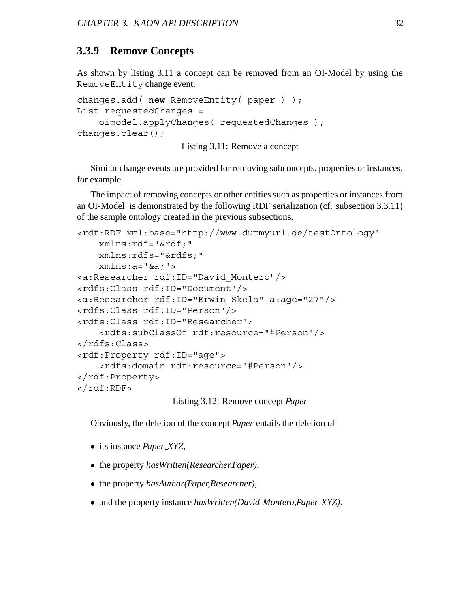### **3.3.9 Remove Concepts**

As shown by listing 3.11 a concept can be removed from an OI-Model by using the RemoveEntity change event.

```
changes.add( new RemoveEntity( paper ) );
List requestedChanges =
    oimodel.applyChanges( requestedChanges );
changes.clear();
```
Listing 3.11: Remove a concept

Similar change events are provided for removing subconcepts, properties or instances, for example.

The impact of removing concepts or other entities such as properties or instances from an OI-Model is demonstrated by the following RDF serialization (cf. subsection 3.3.11) of the sample ontology created in the previous subsections.

```
<rdf:RDF xml:base="http://www.dummyurl.de/testOntology"
    xmlns:rdf="&rdf;"
    xmlns:rdfs="&rdfs;"
    xmlns:a="&a;">
<a:Researcher rdf:ID="David_Montero"/>
<rdfs:Class rdf:ID="Document"/>
<a:Researcher rdf:ID="Erwin_Skela" a:age="27"/>
<rdfs:Class rdf:ID="Person"/>
<rdfs:Class rdf:ID="Researcher">
    <rdfs:subClassOf rdf:resource="#Person"/>
</rdfs:Class>
<rdf:Property rdf:ID="age">
    <rdfs:domain rdf:resource="#Person"/>
</rdf:Property>
</rdf:RDF>
```
Listing 3.12: Remove concept *Paper*

Obviously, the deletion of the concept *Paper* entails the deletion of

- its instance *Paper XYZ*,
- the property *hasWritten(Researcher,Paper)*,
- the property *hasAuthor(Paper,Researcher)*,
- and the property instance *hasWritten(David Montero,Paper XYZ)*.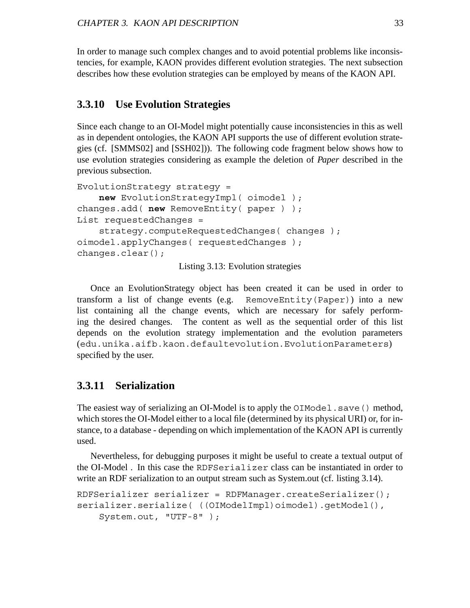In order to manage such complex changes and to avoid potential problems like inconsistencies, for example, KAON provides different evolution strategies. The next subsection describes how these evolution strategies can be employed by means of the KAON API.

### **3.3.10 Use Evolution Strategies**

Since each change to an OI-Model might potentially cause inconsistencies in this as well as in dependent ontologies, the KAON API supports the use of different evolution strategies (cf. [SMMS02] and [SSH02])). The following code fragment below shows how to use evolution strategies considering as example the deletion of *Paper* described in the previous subsection.

```
EvolutionStrategy strategy =
    new EvolutionStrategyImpl( oimodel );
changes.add( new RemoveEntity( paper ) );
List requestedChanges =
    strategy.computeRequestedChanges( changes );
oimodel.applyChanges( requestedChanges );
changes.clear();
```
Listing 3.13: Evolution strategies

Once an EvolutionStrategy object has been created it can be used in order to transform a list of change events (e.g. RemoveEntity(Paper)) into a new list containing all the change events, which are necessary for safely performing the desired changes. The content as well as the sequential order of this list depends on the evolution strategy implementation and the evolution parameters (edu.unika.aifb.kaon.defaultevolution.EvolutionParameters) specified by the user.

### **3.3.11 Serialization**

The easiest way of serializing an OI-Model is to apply the  $OIModel$ . save() method, which stores the OI-Model either to a local file (determined by its physical URI) or, for instance, to a database - depending on which implementation of the KAON API is currently used.

Nevertheless, for debugging purposes it might be useful to create a textual output of the OI-Model . In this case the RDFSerializer class can be instantiated in order to write an RDF serialization to an output stream such as System.out (cf. listing 3.14).

```
RDFSerializer serializer = RDFManager.createSerializer();
serializer.serialize( ((OIModelImpl)oimodel).getModel(),
    System.out, "UTF-8" );
```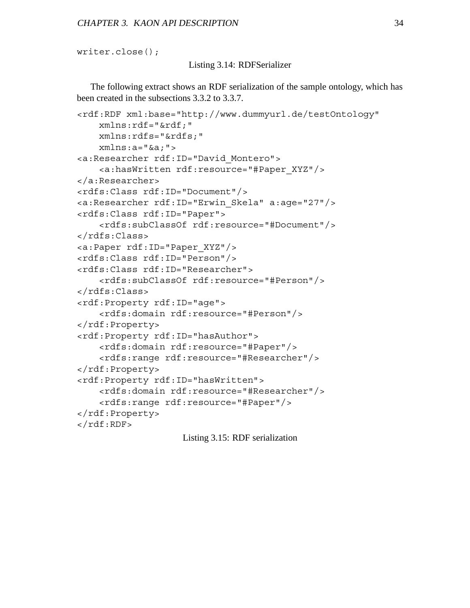writer.close();

#### Listing 3.14: RDFSerializer

The following extract shows an RDF serialization of the sample ontology, which has been created in the subsections 3.3.2 to 3.3.7.

```
<rdf:RDF xml:base="http://www.dummyurl.de/testOntology"
    xmlns:rdf="&rdf;"
    xmlns:rdfs="&rdfs;"
    xmlns:a="&a;">
<a:Researcher rdf:ID="David_Montero">
    <a:hasWritten rdf:resource="#Paper_XYZ"/>
</a:Researcher>
<rdfs:Class rdf:ID="Document"/>
<a:Researcher rdf:ID="Erwin_Skela" a:age="27"/>
<rdfs:Class rdf:ID="Paper">
    <rdfs:subClassOf rdf:resource="#Document"/>
</rdfs:Class>
<a:Paper rdf:ID="Paper_XYZ"/>
<rdfs:Class rdf:ID="Person"/>
<rdfs:Class rdf:ID="Researcher">
    <rdfs:subClassOf rdf:resource="#Person"/>
</rdfs:Class>
<rdf:Property rdf:ID="age">
    <rdfs:domain rdf:resource="#Person"/>
</rdf:Property>
<rdf:Property rdf:ID="hasAuthor">
    <rdfs:domain rdf:resource="#Paper"/>
    <rdfs:range rdf:resource="#Researcher"/>
</rdf:Property>
<rdf:Property rdf:ID="hasWritten">
    <rdfs:domain rdf:resource="#Researcher"/>
    <rdfs:range rdf:resource="#Paper"/>
</rdf:Property>
\langle /rdf:RDF>
```
Listing 3.15: RDF serialization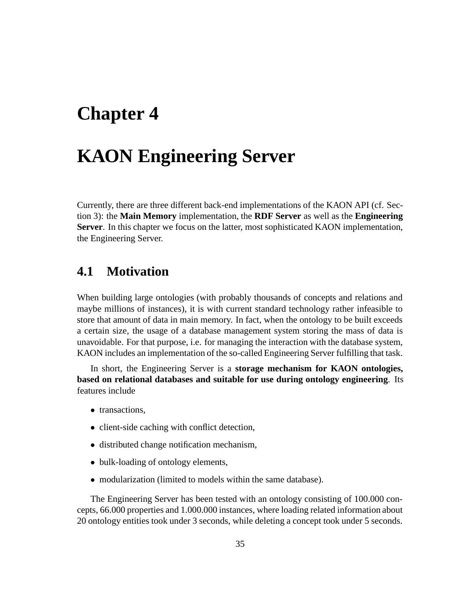# **Chapter 4**

# **KAON Engineering Server**

Currently, there are three different back-end implementations of the KAON API (cf. Section 3): the **Main Memory** implementation, the **RDF Server** as well as the **Engineering Server**. In this chapter we focus on the latter, most sophisticated KAON implementation, the Engineering Server.

## **4.1 Motivation**

When building large ontologies (with probably thousands of concepts and relations and maybe millions of instances), it is with current standard technology rather infeasible to store that amount of data in main memory. In fact, when the ontology to be built exceeds a certain size, the usage of a database management system storing the mass of data is unavoidable. For that purpose, i.e. for managing the interaction with the database system, KAON includes an implementation of the so-called Engineering Server fulfilling that task.

In short, the Engineering Server is a **storage mechanism for KAON ontologies, based on relational databases and suitable for use during ontology engineering**. Its features include

- transactions,
- client-side caching with conflict detection,
- distributed change notification mechanism,
- bulk-loading of ontology elements,
- modularization (limited to models within the same database).

The Engineering Server has been tested with an ontology consisting of 100.000 concepts, 66.000 properties and 1.000.000 instances, where loading related information about 20 ontology entities took under 3 seconds, while deleting a concept took under 5 seconds.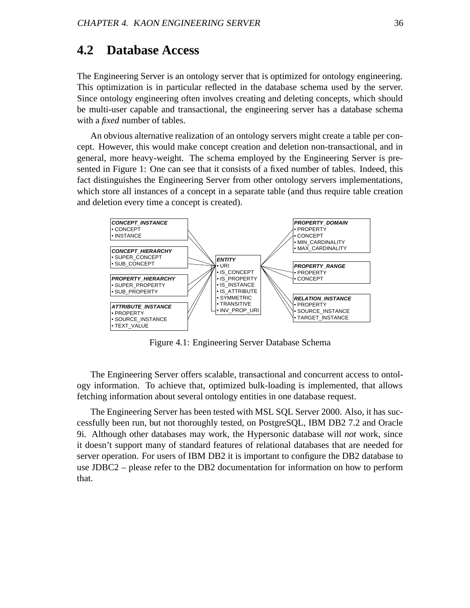### **4.2 Database Access**

The Engineering Server is an ontology server that is optimized for ontology engineering. This optimization is in particular reflected in the database schema used by the server. Since ontology engineering often involves creating and deleting concepts, which should be multi-user capable and transactional, the engineering server has a database schema with a *fixed* number of tables.

An obvious alternative realization of an ontology servers might create a table per concept. However, this would make concept creation and deletion non-transactional, and in general, more heavy-weight. The schema employed by the Engineering Server is presented in Figure 1: One can see that it consists of a fixed number of tables. Indeed, this fact distinguishes the Engineering Server from other ontology servers implementations, which store all instances of a concept in a separate table (and thus require table creation and deletion every time a concept is created).



Figure 4.1: Engineering Server Database Schema

The Engineering Server offers scalable, transactional and concurrent access to ontology information. To achieve that, optimized bulk-loading is implemented, that allows fetching information about several ontology entities in one database request.

The Engineering Server has been tested with MSL SQL Server 2000. Also, it has successfully been run, but not thoroughly tested, on PostgreSQL, IBM DB2 7.2 and Oracle 9i. Although other databases may work, the Hypersonic database will *not* work, since it doesn't support many of standard features of relational databases that are needed for server operation. For users of IBM DB2 it is important to configure the DB2 database to use JDBC2 – please refer to the DB2 documentation for information on how to perform that.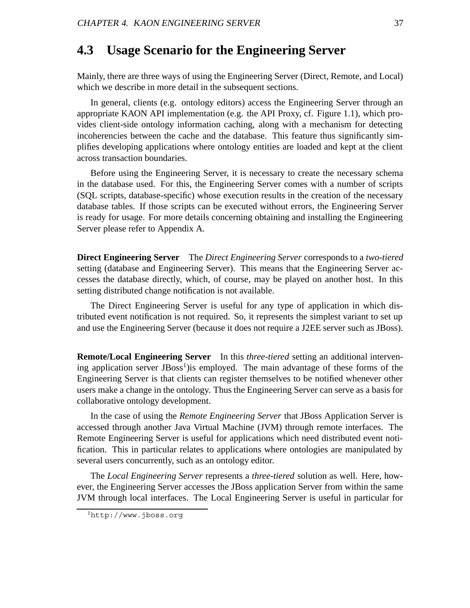### **4.3 Usage Scenario for the Engineering Server**

Mainly, there are three ways of using the Engineering Server (Direct, Remote, and Local) which we describe in more detail in the subsequent sections.

In general, clients (e.g. ontology editors) access the Engineering Server through an appropriate KAON API implementation (e.g. the API Proxy, cf. Figure 1.1), which provides client-side ontology information caching, along with a mechanism for detecting incoherencies between the cache and the database. This feature thus significantly simplifies developing applications where ontology entities are loaded and kept at the client across transaction boundaries.

Before using the Engineering Server, it is necessary to create the necessary schema in the database used. For this, the Engineering Server comes with a number of scripts (SQL scripts, database-specific) whose execution results in the creation of the necessary database tables. If those scripts can be executed without errors, the Engineering Server is ready for usage. For more details concerning obtaining and installing the Engineering Server please refer to Appendix A.

**Direct Engineering Server** The *Direct Engineering Server* corresponds to a *two-tiered* setting (database and Engineering Server). This means that the Engineering Server accesses the database directly, which, of course, may be played on another host. In this setting distributed change notification is not available.

The Direct Engineering Server is useful for any type of application in which distributed event notification is not required. So, it represents the simplest variant to set up and use the Engineering Server (because it does not require a J2EE server such as JBoss).

**Remote/Local Engineering Server** In this *three-tiered* setting an additional intervening application server  $JBoss<sup>1</sup>$ ) is employed. The main advantage of these forms of the Engineering Server is that clients can register themselves to be notified whenever other users make a change in the ontology. Thus the Engineering Server can serve as a basis for collaborative ontology development.

In the case of using the *Remote Engineering Server* that JBoss Application Server is accessed through another Java Virtual Machine (JVM) through remote interfaces. The Remote Engineering Server is useful for applications which need distributed event notification. This in particular relates to applications where ontologies are manipulated by several users concurrently, such as an ontology editor.

The *Local Engineering Server* represents a *three-tiered* solution as well. Here, however, the Engineering Server accesses the JBoss application Server from within the same JVM through local interfaces. The Local Engineering Server is useful in particular for

<sup>1</sup>http://www.jboss.org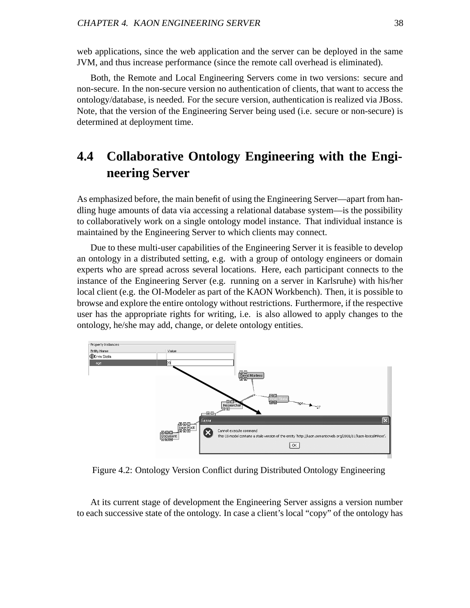web applications, since the web application and the server can be deployed in the same JVM, and thus increase performance (since the remote call overhead is eliminated).

Both, the Remote and Local Engineering Servers come in two versions: secure and non-secure. In the non-secure version no authentication of clients, that want to access the ontology/database, is needed. For the secure version, authentication is realized via JBoss. Note, that the version of the Engineering Server being used (i.e. secure or non-secure) is determined at deployment time.

## **4.4 Collaborative Ontology Engineering with the Engineering Server**

As emphasized before, the main benefit of using the Engineering Server—apart from handling huge amounts of data via accessing a relational database system—is the possibility to collaboratively work on a single ontology model instance. That individual instance is maintained by the Engineering Server to which clients may connect.

Due to these multi-user capabilities of the Engineering Server it is feasible to develop an ontology in a distributed setting, e.g. with a group of ontology engineers or domain experts who are spread across several locations. Here, each participant connects to the instance of the Engineering Server (e.g. running on a server in Karlsruhe) with his/her local client (e.g. the OI-Modeler as part of the KAON Workbench). Then, it is possible to browse and explore the entire ontology without restrictions. Furthermore, if the respective user has the appropriate rights for writing, i.e. is also allowed to apply changes to the ontology, he/she may add, change, or delete ontology entities.



Figure 4.2: Ontology Version Conflict during Distributed Ontology Engineering

At its current stage of development the Engineering Server assigns a version number to each successive state of the ontology. In case a client's local "copy" of the ontology has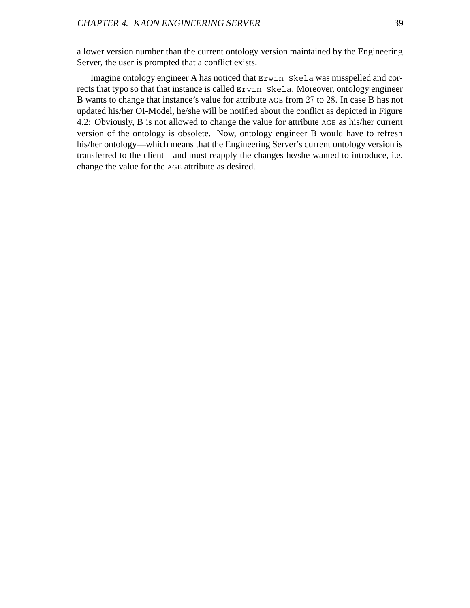a lower version number than the current ontology version maintained by the Engineering Server, the user is prompted that a conflict exists.

Imagine ontology engineer A has noticed that Erwin Skela was misspelled and corrects that typo so that that instance is called Ervin Skela. Moreover, ontology engineer B wants to change that instance's value for attribute AGE from 27 to 28. In case B has not updated his/her OI-Model, he/she will be notified about the conflict as depicted in Figure 4.2: Obviously, B is not allowed to change the value for attribute AGE as his/her current version of the ontology is obsolete. Now, ontology engineer B would have to refresh his/her ontology—which means that the Engineering Server's current ontology version is transferred to the client—and must reapply the changes he/she wanted to introduce, i.e. change the value for the AGE attribute as desired.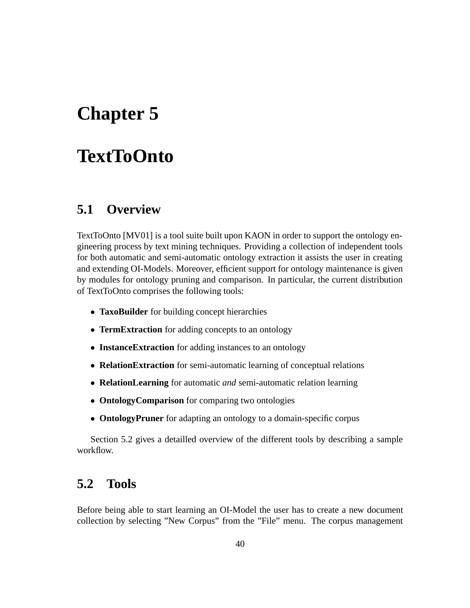# **Chapter 5**

# **TextToOnto**

## **5.1 Overview**

TextToOnto [MV01] is a tool suite built upon KAON in order to support the ontology engineering process by text mining techniques. Providing a collection of independent tools for both automatic and semi-automatic ontology extraction it assists the user in creating and extending OI-Models. Moreover, efficient support for ontology maintenance is given by modules for ontology pruning and comparison. In particular, the current distribution of TextToOnto comprises the following tools:

- **TaxoBuilder** for building concept hierarchies
- **TermExtraction** for adding concepts to an ontology
- **InstanceExtraction** for adding instances to an ontology
- **RelationExtraction** for semi-automatic learning of conceptual relations
- **RelationLearning** for automatic *and* semi-automatic relation learning
- **OntologyComparison** for comparing two ontologies
- **OntologyPruner** for adapting an ontology to a domain-specific corpus

Section 5.2 gives a detailled overview of the different tools by describing a sample workflow.

## **5.2 Tools**

Before being able to start learning an OI-Model the user has to create a new document collection by selecting "New Corpus" from the "File" menu. The corpus management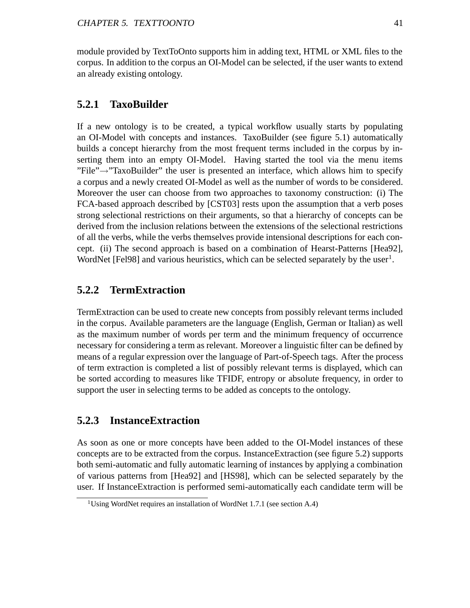module provided by TextToOnto supports him in adding text, HTML or XML files to the corpus. In addition to the corpus an OI-Model can be selected, if the user wants to extend an already existing ontology.

#### **5.2.1 TaxoBuilder**

If a new ontology is to be created, a typical workflow usually starts by populating an OI-Model with concepts and instances. TaxoBuilder (see figure 5.1) automatically builds a concept hierarchy from the most frequent terms included in the corpus by inserting them into an empty OI-Model. Having started the tool via the menu items "File" $\rightarrow$ "TaxoBuilder" the user is presented an interface, which allows him to specify a corpus and a newly created OI-Model as well as the number of words to be considered. Moreover the user can choose from two approaches to taxonomy construction: (i) The FCA-based approach described by [CST03] rests upon the assumption that a verb poses strong selectional restrictions on their arguments, so that a hierarchy of concepts can be derived from the inclusion relations between the extensions of the selectional restrictions of all the verbs, while the verbs themselves provide intensional descriptions for each concept. (ii) The second approach is based on a combination of Hearst-Patterns [Hea92], WordNet [Fel98] and various heuristics, which can be selected separately by the user<sup>1</sup>.

### **5.2.2 TermExtraction**

TermExtraction can be used to create new concepts from possibly relevant terms included in the corpus. Available parameters are the language (English, German or Italian) as well as the maximum number of words per term and the minimum frequency of occurrence necessary for considering a term as relevant. Moreover a linguistic filter can be defined by means of a regular expression over the language of Part-of-Speech tags. After the process of term extraction is completed a list of possibly relevant terms is displayed, which can be sorted according to measures like TFIDF, entropy or absolute frequency, in order to support the user in selecting terms to be added as concepts to the ontology.

#### **5.2.3 InstanceExtraction**

As soon as one or more concepts have been added to the OI-Model instances of these concepts are to be extracted from the corpus. InstanceExtraction (see figure 5.2) supports both semi-automatic and fully automatic learning of instances by applying a combination of various patterns from [Hea92] and [HS98], which can be selected separately by the user. If InstanceExtraction is performed semi-automatically each candidate term will be

<sup>&</sup>lt;sup>1</sup>Using WordNet requires an installation of WordNet 1.7.1 (see section A.4)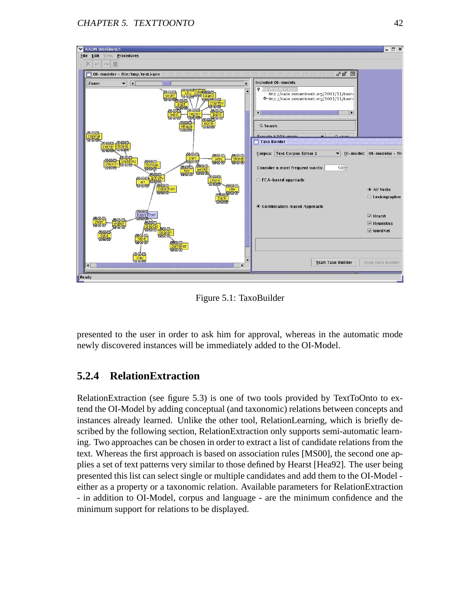

Figure 5.1: TaxoBuilder

presented to the user in order to ask him for approval, whereas in the automatic mode newly discovered instances will be immediately added to the OI-Model.

### **5.2.4 RelationExtraction**

RelationExtraction (see figure 5.3) is one of two tools provided by TextToOnto to extend the OI-Model by adding conceptual (and taxonomic) relations between concepts and instances already learned. Unlike the other tool, RelationLearning, which is briefly described by the following section, RelationExtraction only supports semi-automatic learning. Two approaches can be chosen in order to extract a list of candidate relations from the text. Whereas the first approach is based on association rules [MS00], the second one applies a set of text patterns very similar to those defined by Hearst [Hea92]. The user being presented this list can select single or multiple candidates and add them to the OI-Model either as a property or a taxonomic relation. Available parameters for RelationExtraction - in addition to OI-Model, corpus and language - are the minimum confidence and the minimum support for relations to be displayed.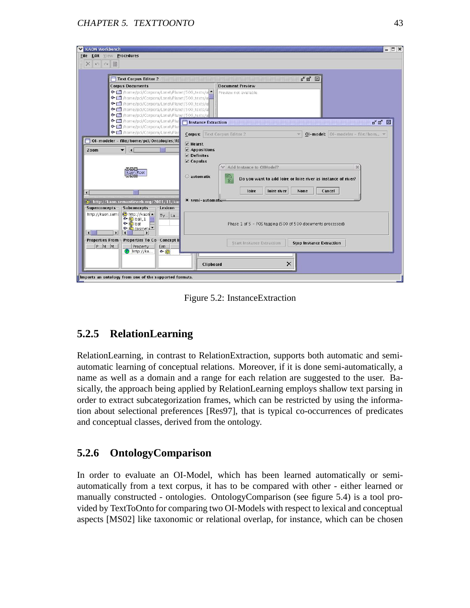| Text Corpus Editor 2                                                                                                                                                                                                                                                         |                                                             | ਰ" ⊠"<br>冈                                                                                                        |  |  |
|------------------------------------------------------------------------------------------------------------------------------------------------------------------------------------------------------------------------------------------------------------------------------|-------------------------------------------------------------|-------------------------------------------------------------------------------------------------------------------|--|--|
| <b>Corpus Documents</b><br>→ nome/pci/Corpora/LonelyPlanet/500_texts/a<br>◆□ /home/pci/Corpora/LonelyPlanet/500_texts/a<br>→ nome/pci/Corpora/LonelyPlanet/500_texts/at<br>● □ /home/pci/Corpora/LonelyPlanet/500_texts/at<br>◆ ■ /home/pci/Corpora/LonelyPlanet/500_texts/a |                                                             | <b>Document Preview</b><br>Preview not available.                                                                 |  |  |
| <b>O</b> <i>Ahome/pci/Corpora/LonelyPlar</i> <b>Instance Extraction</b><br>◆□ /home/pci/Corpora/LonelyPlan<br>← □ /home/pci/Corpora/LonelyPlan<br>OI-modeler - file:/home/pci/Ontologies/RI<br>Zoom<br>$\vert \cdot \vert$<br>$\overline{\phantom{a}}$                       | $V$ Hearst<br>$\nu$ Appositions                             | ďď<br>$\mathbb{R}$<br><b>Corpus: Text Corpus Editor 2</b><br>OI-model:   OI-modeler - file:/hom =<br>$\mathbf{v}$ |  |  |
| ooo<br>kaon:Root                                                                                                                                                                                                                                                             | $V$ Definites<br>$\nu$ Copulas<br>automatic                 | Add Instance to OIModel?<br>$\mathcal{D}$<br>Do you want to add loire or loire river as instance of river?        |  |  |
| C http://kaon.semanticweb.org/2001/11/kao<br>-Subconcepts<br>Superconcepts-<br>Lexicon-                                                                                                                                                                                      | $\bullet$ semi-automati-                                    | loire river<br>Cancel<br>loire<br>None                                                                            |  |  |
| http://kaon.sema<br>$\bigcirc$ http://kaon $\blacktriangle$<br>Ty   La<br>$\bullet$ $\bullet$ ball_1<br>$\bullet$ $\bullet$ bat<br>O C cosmeti<br>$\mathbf{r}$<br>1國<br>$\left  \right $<br>$\mathbf{E}$                                                                     | Phase 1 of 5 - POS tagging (500 of 500 documents processed) |                                                                                                                   |  |  |
| Properties From I-Properties To Co-Concept II<br>P M M <br>Property<br>Enti<br>$\mathbf{P}$ http://ka<br>O                                                                                                                                                                   |                                                             | <b>Start Instance Extraction</b><br><b>Stop Instance Extraction</b>                                               |  |  |

Figure 5.2: InstanceExtraction

## **5.2.5 RelationLearning**

RelationLearning, in contrast to RelationExtraction, supports both automatic and semiautomatic learning of conceptual relations. Moreover, if it is done semi-automatically, a name as well as a domain and a range for each relation are suggested to the user. Basically, the approach being applied by RelationLearning employs shallow text parsing in order to extract subcategorization frames, which can be restricted by using the information about selectional preferences [Res97], that is typical co-occurrences of predicates and conceptual classes, derived from the ontology.

### **5.2.6 OntologyComparison**

In order to evaluate an OI-Model, which has been learned automatically or semiautomatically from a text corpus, it has to be compared with other - either learned or manually constructed - ontologies. OntologyComparison (see figure 5.4) is a tool provided by TextToOnto for comparing two OI-Models with respect to lexical and conceptual aspects [MS02] like taxonomic or relational overlap, for instance, which can be chosen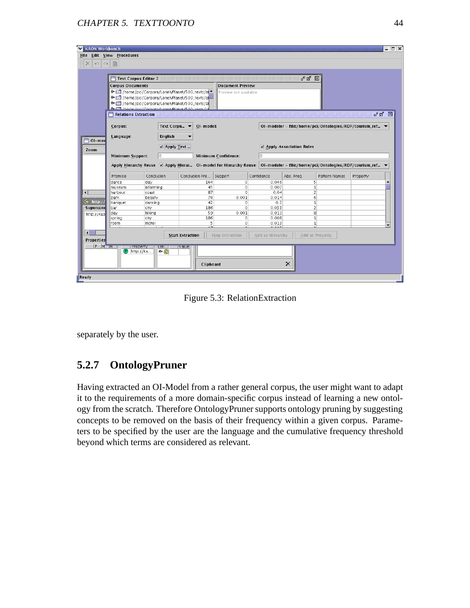|                                             | Text Corpus Editor 2    |                                                             |                                                                                                                                  |                         |                  | ď                       | ⊠               |                                                          |
|---------------------------------------------|-------------------------|-------------------------------------------------------------|----------------------------------------------------------------------------------------------------------------------------------|-------------------------|------------------|-------------------------|-----------------|----------------------------------------------------------|
|                                             | <b>Corpus Documents</b> |                                                             |                                                                                                                                  | <b>Document Preview</b> |                  |                         |                 |                                                          |
|                                             |                         |                                                             | → nome/pci/Corpora/LonelyPlanet/500_texts/at                                                                                     | Preview not available.  |                  |                         |                 |                                                          |
|                                             |                         |                                                             | Thome/pci/Corpora/LonelyPlanet/500_texts/all                                                                                     |                         |                  |                         |                 |                                                          |
|                                             |                         |                                                             | Thome/pci/Corpora/LonelyPlanet/500_texts/at                                                                                      |                         |                  |                         |                 |                                                          |
|                                             |                         | <b>B-F</b> thoma incit(Cornora (Longh Planot (500 toyie is  |                                                                                                                                  |                         |                  |                         |                 |                                                          |
|                                             | Relations Extraction    |                                                             |                                                                                                                                  |                         |                  |                         |                 | Fø ⊠                                                     |
|                                             |                         |                                                             |                                                                                                                                  |                         |                  |                         |                 |                                                          |
|                                             | Corpus:                 |                                                             | Text Corpu ▼<br>OI-model:                                                                                                        |                         |                  |                         |                 | OI-modeler - file:/home/pci/Ontologies/RDF/tourism_ref ▼ |
|                                             | Language:               | English                                                     |                                                                                                                                  |                         |                  |                         |                 |                                                          |
| $\Box$ OI-mod                               |                         |                                                             |                                                                                                                                  |                         |                  |                         |                 |                                                          |
|                                             |                         |                                                             | Apply Text                                                                                                                       |                         |                  | Apply Association Rules |                 |                                                          |
| Zoom                                        |                         |                                                             |                                                                                                                                  |                         |                  |                         |                 |                                                          |
|                                             |                         | <b>Minimum Support:</b><br>10<br><b>Minimum Confidence:</b> |                                                                                                                                  |                         | l0               |                         |                 |                                                          |
|                                             |                         |                                                             | Apply Hierarchy Reuse <b>Ø Apply Hierar</b> Ol-model for Hierarchy Reuse: 0l-modeler - file:/home/pci/Ontologies/RDF/tourism_ref |                         |                  |                         |                 |                                                          |
|                                             | Premise                 | Conclusion                                                  | Conclusion Fre                                                                                                                   | Support                 | Confidence       | Abs. Freq.              | Pattern Names   | Property                                                 |
|                                             | dance                   | day                                                         | 164                                                                                                                              | $\circ$                 | 0.046            | 5                       |                 |                                                          |
|                                             | museum                  | informing                                                   | 45                                                                                                                               | $\circ$                 | 0.002            | 1                       |                 |                                                          |
|                                             | harbour                 | coast                                                       | 87                                                                                                                               | Ō                       | 0.04             | $\overline{2}$          |                 |                                                          |
|                                             | park                    | beauty                                                      | 76                                                                                                                               | 0.001                   | 0.014            | 6                       |                 |                                                          |
| mmmm                                        |                         |                                                             | 42                                                                                                                               | 0                       | 0.2              | $\mathbf{1}$            |                 |                                                          |
|                                             | banquet                 | dancing                                                     |                                                                                                                                  | o                       | 0.033            | $\overline{2}$          |                 |                                                          |
|                                             | bar                     | city                                                        | 186                                                                                                                              |                         |                  |                         |                 |                                                          |
| $\Theta$ http://<br>Supercond<br>http://kao | day                     | hiking                                                      | 59                                                                                                                               | 0.001                   | 0.013            | 8                       |                 |                                                          |
|                                             | spring                  | city                                                        | 186                                                                                                                              | 0                       | 0.008            | $\mathbf{1}$            |                 |                                                          |
|                                             | room                    | motel                                                       | 5<br>$\overline{a}$                                                                                                              | $\Omega$                | 0.013            | $\overline{1}$          |                 |                                                          |
|                                             |                         |                                                             |                                                                                                                                  |                         |                  |                         |                 |                                                          |
|                                             |                         |                                                             | <b>Start Extraction</b>                                                                                                          | Stop Extraction         | Add as Hierarchy |                         | Add as Property |                                                          |
| ◀腦<br><b>Properties</b><br>P M.  M.  []     |                         | [Property]<br>Ent                                           | value                                                                                                                            |                         |                  |                         |                 |                                                          |

Figure 5.3: RelationExtraction

separately by the user.

### **5.2.7 OntologyPruner**

Having extracted an OI-Model from a rather general corpus, the user might want to adapt it to the requirements of a more domain-specific corpus instead of learning a new ontology from the scratch. Therefore OntologyPruner supports ontology pruning by suggesting concepts to be removed on the basis of their frequency within a given corpus. Parameters to be specified by the user are the language and the cumulative frequency threshold beyond which terms are considered as relevant.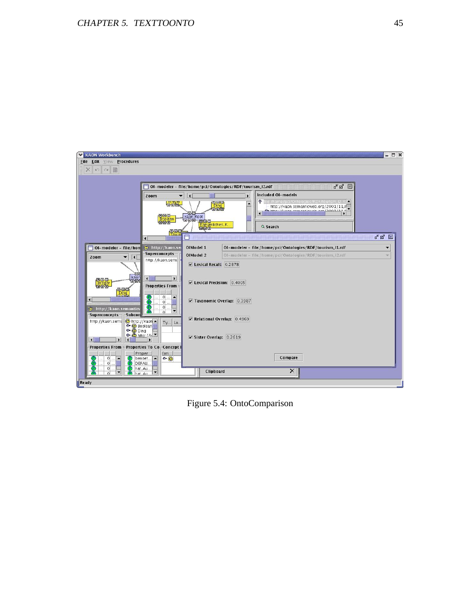

Figure 5.4: OntoComparison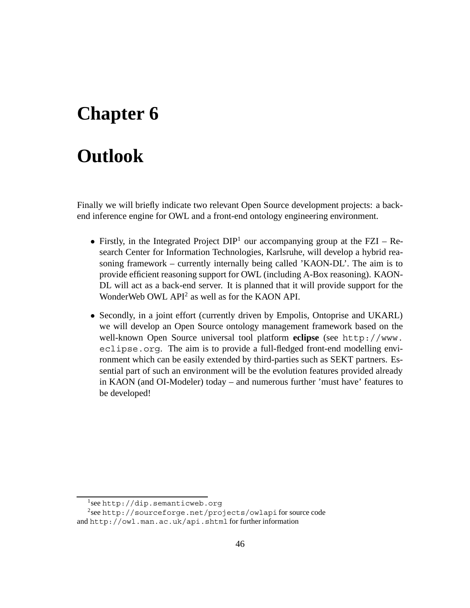# **Chapter 6**

# **Outlook**

Finally we will briefly indicate two relevant Open Source development projects: a backend inference engine for OWL and a front-end ontology engineering environment.

- Firstly, in the Integrated Project  $DIP<sup>1</sup>$  our accompanying group at the FZI Research Center for Information Technologies, Karlsruhe, will develop a hybrid reasoning framework – currently internally being called 'KAON-DL'. The aim is to provide efficient reasoning support for OWL (including A-Box reasoning). KAON-DL will act as a back-end server. It is planned that it will provide support for the WonderWeb OWL API<sup>2</sup> as well as for the KAON API.
- Secondly, in a joint effort (currently driven by Empolis, Ontoprise and UKARL) we will develop an Open Source ontology management framework based on the well-known Open Source universal tool platform **eclipse** (see http://www. eclipse.org. The aim is to provide a full-fledged front-end modelling environment which can be easily extended by third-parties such as SEKT partners. Essential part of such an environment will be the evolution features provided already in KAON (and OI-Modeler) today – and numerous further 'must have' features to be developed!

<sup>1</sup>see http://dip.semanticweb.org

<sup>2</sup>see http://sourceforge.net/projects/owlapi for source code and http://owl.man.ac.uk/api.shtml for further information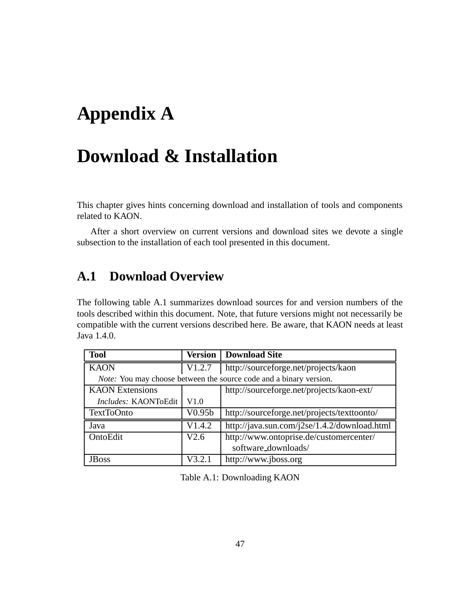# **Appendix A**

# **Download & Installation**

This chapter gives hints concerning download and installation of tools and components related to KAON.

After a short overview on current versions and download sites we devote a single subsection to the installation of each tool presented in this document.

## **A.1 Download Overview**

The following table A.1 summarizes download sources for and version numbers of the tools described within this document. Note, that future versions might not necessarily be compatible with the current versions described here. Be aware, that KAON needs at least Java 1.4.0.

| <b>Tool</b>            | <b>Version</b> | <b>Download Site</b>                                               |
|------------------------|----------------|--------------------------------------------------------------------|
| <b>KAON</b>            | V1.2.7         | http://sourceforge.net/projects/kaon                               |
|                        |                | Note: You may choose between the source code and a binary version. |
| <b>KAON</b> Extensions |                | http://sourceforge.net/projects/kaon-ext/                          |
| Includes: KAONToEdit   | V1.0           |                                                                    |
| TextToOnto             | V0.95b         | http://sourceforge.net/projects/texttoonto/                        |
| Java                   | V1.4.2         | http://java.sun.com/j2se/1.4.2/download.html                       |
| OntoEdit               | V2.6           | http://www.ontoprise.de/customercenter/                            |
|                        |                | software_downloads/                                                |
| JBoss                  | V3.2.          | http://www.jboss.org                                               |

Table A.1: Downloading KAON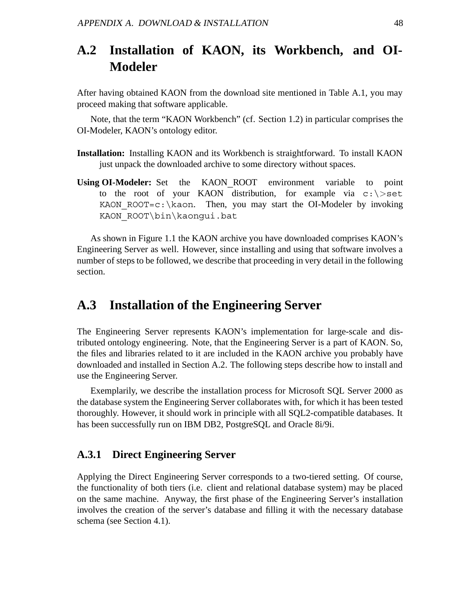## **A.2 Installation of KAON, its Workbench, and OI-Modeler**

After having obtained KAON from the download site mentioned in Table A.1, you may proceed making that software applicable.

Note, that the term "KAON Workbench" (cf. Section 1.2) in particular comprises the OI-Modeler, KAON's ontology editor.

- **Installation:** Installing KAON and its Workbench is straightforward. To install KAON just unpack the downloaded archive to some directory without spaces.
- **Using OI-Modeler:** Set the KAON\_ROOT environment variable to point to the root of your KAON distribution, for example via c:\*>*set KAON ROOT=c: \kaon. Then, you may start the OI-Modeler by invoking KAON ROOT\bin\kaonqui.bat

As shown in Figure 1.1 the KAON archive you have downloaded comprises KAON's Engineering Server as well. However, since installing and using that software involves a number of steps to be followed, we describe that proceeding in very detail in the following section.

## **A.3 Installation of the Engineering Server**

The Engineering Server represents KAON's implementation for large-scale and distributed ontology engineering. Note, that the Engineering Server is a part of KAON. So, the files and libraries related to it are included in the KAON archive you probably have downloaded and installed in Section A.2. The following steps describe how to install and use the Engineering Server.

Exemplarily, we describe the installation process for Microsoft SQL Server 2000 as the database system the Engineering Server collaborates with, for which it has been tested thoroughly. However, it should work in principle with all SQL2-compatible databases. It has been successfully run on IBM DB2, PostgreSQL and Oracle 8i/9i.

### **A.3.1 Direct Engineering Server**

Applying the Direct Engineering Server corresponds to a two-tiered setting. Of course, the functionality of both tiers (i.e. client and relational database system) may be placed on the same machine. Anyway, the first phase of the Engineering Server's installation involves the creation of the server's database and filling it with the necessary database schema (see Section 4.1).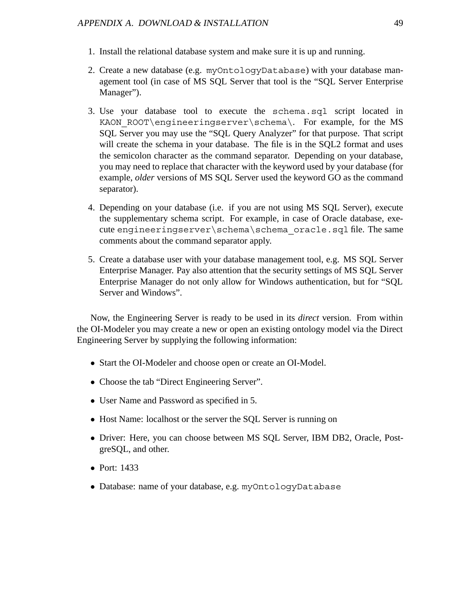- 1. Install the relational database system and make sure it is up and running.
- 2. Create a new database (e.g. myOntologyDatabase) with your database management tool (in case of MS SQL Server that tool is the "SQL Server Enterprise Manager").
- 3. Use your database tool to execute the schema.sql script located in KAON ROOT\engineeringserver\schema\. For example, for the MS SQL Server you may use the "SQL Query Analyzer" for that purpose. That script will create the schema in your database. The file is in the SQL2 format and uses the semicolon character as the command separator. Depending on your database, you may need to replace that character with the keyword used by your database (for example, *older* versions of MS SQL Server used the keyword GO as the command separator).
- 4. Depending on your database (i.e. if you are not using MS SQL Server), execute the supplementary schema script. For example, in case of Oracle database, execute engineeringserver\schema\schema\_oracle.sql file. The same comments about the command separator apply.
- 5. Create a database user with your database management tool, e.g. MS SQL Server Enterprise Manager. Pay also attention that the security settings of MS SQL Server Enterprise Manager do not only allow for Windows authentication, but for "SQL Server and Windows".

Now, the Engineering Server is ready to be used in its *direct* version. From within the OI-Modeler you may create a new or open an existing ontology model via the Direct Engineering Server by supplying the following information:

- Start the OI-Modeler and choose open or create an OI-Model.
- Choose the tab "Direct Engineering Server".
- User Name and Password as specified in 5.
- Host Name: localhost or the server the SOL Server is running on
- Driver: Here, you can choose between MS SQL Server, IBM DB2, Oracle, PostgreSQL, and other.
- Port: 1433
- Database: name of your database, e.g. myOntologyDatabase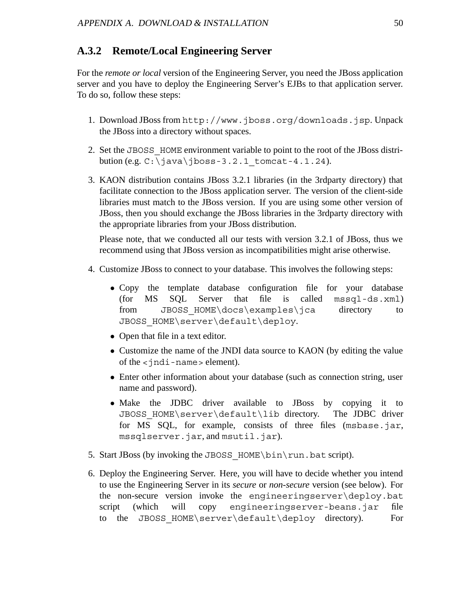#### **A.3.2 Remote/Local Engineering Server**

For the *remote or local* version of the Engineering Server, you need the JBoss application server and you have to deploy the Engineering Server's EJBs to that application server. To do so, follow these steps:

- 1. Download JBoss from http://www.jboss.org/downloads.jsp. Unpack the JBoss into a directory without spaces.
- 2. Set the JBOSS\_HOME environment variable to point to the root of the JBoss distribution (e.g.  $C:\iota\$  ava $\iota\$ boss-3.2.1 tomcat-4.1.24).
- 3. KAON distribution contains JBoss 3.2.1 libraries (in the 3rdparty directory) that facilitate connection to the JBoss application server. The version of the client-side libraries must match to the JBoss version. If you are using some other version of JBoss, then you should exchange the JBoss libraries in the 3rdparty directory with the appropriate libraries from your JBoss distribution.

Please note, that we conducted all our tests with version 3.2.1 of JBoss, thus we recommend using that JBoss version as incompatibilities might arise otherwise.

- 4. Customize JBoss to connect to your database. This involves the following steps:
	- Copy the template database configuration file for your database (for MS SOL Server that file is called mssql-ds.xml)  $called$   $mssql-ds.xml$ from JBOSS HOME\docs\examples\jca directory to JBOSS\_HOME\server\default\deploy.
	- Open that file in a text editor.
	- Customize the name of the JNDI data source to KAON (by editing the value of the <jndi-name> element).
	- Enter other information about your database (such as connection string, user name and password).
	- Make the JDBC driver available to JBoss by copying it to JBOSS HOME\server\default\lib directory. The JDBC driver JBOSS HOME\server\default\lib directory. for MS SQL, for example, consists of three files (msbase.jar, mssqlserver.jar, and msutil.jar).
- 5. Start JBoss (by invoking the JBOSS HOME\bin\run.bat script).
- 6. Deploy the Engineering Server. Here, you will have to decide whether you intend to use the Engineering Server in its *secure* or *non-secure* version (see below). For the non-secure version invoke the engineeringserver\deploy.bat script (which will copy engineeringserver-beans.jar file to the JBOSS HOME\server\default\deploy directory). For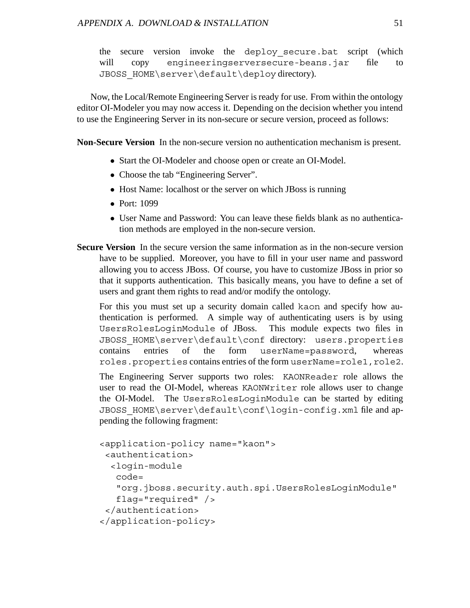the secure version invoke the deploy\_secure.bat script (which will copy engineeringserversecure-beans.jar file to JBOSS\_HOME\server\default\deploy directory).

Now, the Local/Remote Engineering Server is ready for use. From within the ontology editor OI-Modeler you may now access it. Depending on the decision whether you intend to use the Engineering Server in its non-secure or secure version, proceed as follows:

**Non-Secure Version** In the non-secure version no authentication mechanism is present.

- Start the OI-Modeler and choose open or create an OI-Model.
- Choose the tab "Engineering Server".
- Host Name: localhost or the server on which JBoss is running
- Port: 1099
- User Name and Password: You can leave these fields blank as no authentication methods are employed in the non-secure version.
- **Secure Version** In the secure version the same information as in the non-secure version have to be supplied. Moreover, you have to fill in your user name and password allowing you to access JBoss. Of course, you have to customize JBoss in prior so that it supports authentication. This basically means, you have to define a set of users and grant them rights to read and/or modify the ontology.

For this you must set up a security domain called kaon and specify how authentication is performed. A simple way of authenticating users is by using UsersRolesLoginModule of JBoss. This module expects two files in JBOSS\_HOME\server\default\conf directory: users.properties contains entries of the form userName=password, whereas roles.properties contains entries of the form userName=role1,role2.

The Engineering Server supports two roles: KAONReader role allows the user to read the OI-Model, whereas KAONWriter role allows user to change the OI-Model. The UsersRolesLoginModule can be started by editing JBOSS\_HOME\server\default\conf\login-config.xml file and appending the following fragment:

```
<application-policy name="kaon">
 <authentication>
  <login-module
  code=
   "org.jboss.security.auth.spi.UsersRolesLoginModule"
   flag="required" />
 </authentication>
</application-policy>
```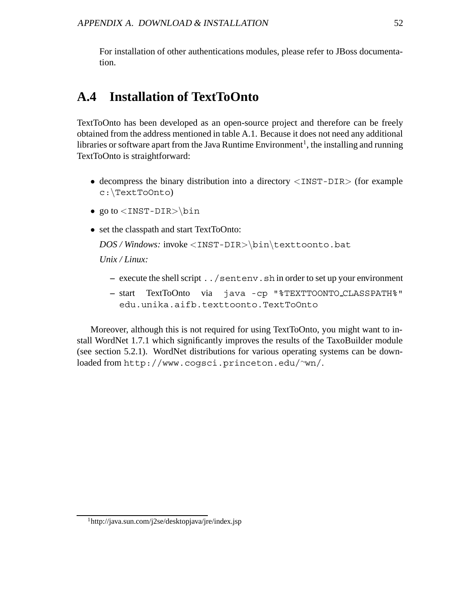For installation of other authentications modules, please refer to JBoss documentation.

## **A.4 Installation of TextToOnto**

TextToOnto has been developed as an open-source project and therefore can be freely obtained from the address mentioned in table A.1. Because it does not need any additional libraries or software apart from the Java Runtime Environment<sup>1</sup>, the installing and running TextToOnto is straightforward:

- decompress the binary distribution into a directory *<*INST-DIR*>* (for example c:\TextToOnto)
- go to *<*INST-DIR*>*\bin
- set the classpath and start TextToOnto:

```
DOS / Windows: invoke <INST-DIR>\bin\texttoonto.bat
```
*Unix / Linux:*

- **–** execute the shell script ../sentenv.sh in order to set up your environment
- **–** start TextToOnto via java -cp "%TEXTTOONTO CLASSPATH%" edu.unika.aifb.texttoonto.TextToOnto

Moreover, although this is not required for using TextToOnto, you might want to install WordNet 1.7.1 which significantly improves the results of the TaxoBuilder module (see section 5.2.1). WordNet distributions for various operating systems can be downloaded from http://www.cogsci.princeton.edu/∼wn/.

<sup>1</sup>http://java.sun.com/j2se/desktopjava/jre/index.jsp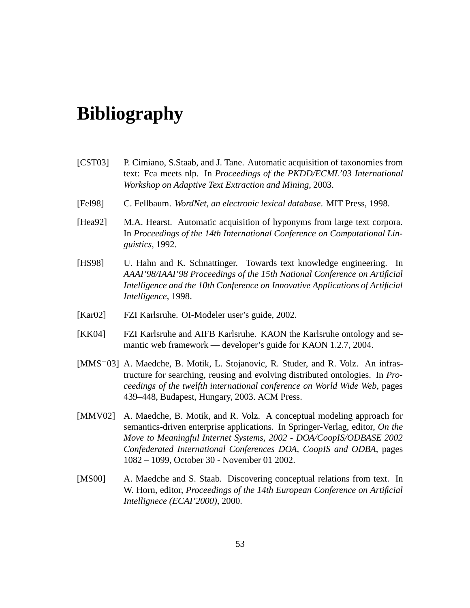# **Bibliography**

- [CST03] P. Cimiano, S.Staab, and J. Tane. Automatic acquisition of taxonomies from text: Fca meets nlp. In *Proceedings of the PKDD/ECML'03 International Workshop on Adaptive Text Extraction and Mining*, 2003.
- [Fel98] C. Fellbaum. *WordNet, an electronic lexical database*. MIT Press, 1998.
- [Hea92] M.A. Hearst. Automatic acquisition of hyponyms from large text corpora. In *Proceedings of the 14th International Conference on Computational Linguistics*, 1992.
- [HS98] U. Hahn and K. Schnattinger. Towards text knowledge engineering. In *AAAI'98/IAAI'98 Proceedings of the 15th National Conference on Artificial Intelligence and the 10th Conference on Innovative Applications of Artificial Intelligence*, 1998.
- [Kar02] FZI Karlsruhe. OI-Modeler user's guide, 2002.
- [KK04] FZI Karlsruhe and AIFB Karlsruhe. KAON the Karlsruhe ontology and semantic web framework — developer's guide for KAON 1.2.7, 2004.
- [MMS<sup>+</sup>03] A. Maedche, B. Motik, L. Stojanovic, R. Studer, and R. Volz. An infrastructure for searching, reusing and evolving distributed ontologies. In *Proceedings of the twelfth international conference on World Wide Web*, pages 439–448, Budapest, Hungary, 2003. ACM Press.
- [MMV02] A. Maedche, B. Motik, and R. Volz. A conceptual modeling approach for semantics-driven enterprise applications. In Springer-Verlag, editor, *On the Move to Meaningful Internet Systems, 2002 - DOA/CoopIS/ODBASE 2002 Confederated International Conferences DOA, CoopIS and ODBA*, pages 1082 – 1099, October 30 - November 01 2002.
- [MS00] A. Maedche and S. Staab. Discovering conceptual relations from text. In W. Horn, editor, *Proceedings of the 14th European Conference on Artificial Intellignece (ECAI'2000)*, 2000.